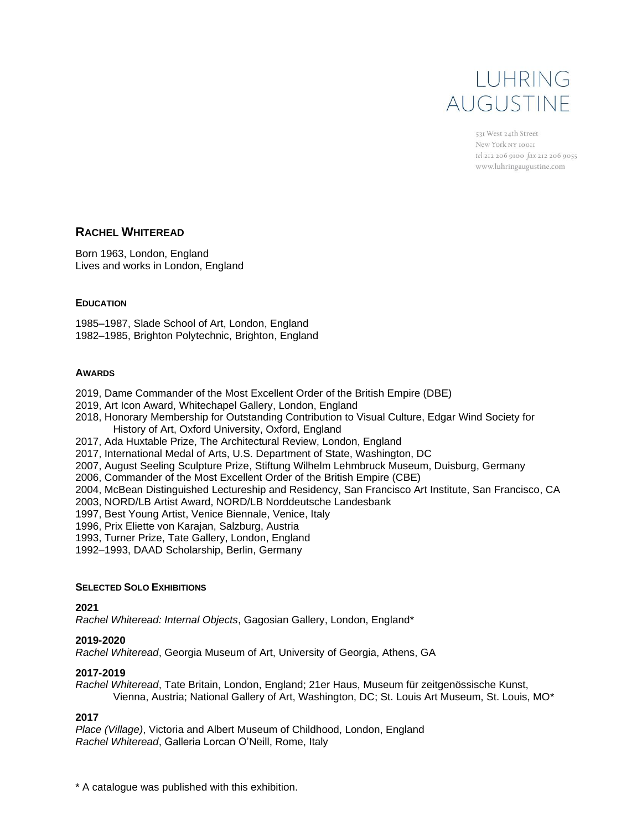# LUHRING AUGUSTINF

531 West 24th Street New York NY 10011 tel 212 206 9100 fax 212 206 9055 www.luhringaugustine.com

### **RACHEL WHITEREAD**

Born 1963, London, England Lives and works in London, England

### **EDUCATION**

1985–1987, Slade School of Art, London, England 1982–1985, Brighton Polytechnic, Brighton, England

### **AWARDS**

- 2019, Dame Commander of the Most Excellent Order of the British Empire (DBE)
- 2019, Art Icon Award, Whitechapel Gallery, London, England
- 2018, Honorary Membership for Outstanding Contribution to Visual Culture, Edgar Wind Society for History of Art, Oxford University, Oxford, England
- 2017, Ada Huxtable Prize, The Architectural Review, London, England
- 2017, International Medal of Arts, U.S. Department of State, Washington, DC
- 2007, August Seeling Sculpture Prize, Stiftung Wilhelm Lehmbruck Museum, Duisburg, Germany
- 2006, Commander of the Most Excellent Order of the British Empire (CBE)
- 2004, McBean Distinguished Lectureship and Residency, San Francisco Art Institute, San Francisco, CA
- 2003, NORD/LB Artist Award, NORD/LB Norddeutsche Landesbank
- 1997, Best Young Artist, Venice Biennale, Venice, Italy
- 1996, Prix Eliette von Karajan, Salzburg, Austria
- 1993, Turner Prize, Tate Gallery, London, England
- 1992–1993, DAAD Scholarship, Berlin, Germany

### **SELECTED SOLO EXHIBITIONS**

### **2021**

*Rachel Whiteread: Internal Objects*, Gagosian Gallery, London, England\*

### **2019-2020**

*Rachel Whiteread*, Georgia Museum of Art, University of Georgia, Athens, GA

### **2017-2019**

*Rachel Whiteread*, Tate Britain, London, England; 21er Haus, Museum für zeitgenössische Kunst, Vienna, Austria; National Gallery of Art, Washington, DC; St. Louis Art Museum, St. Louis, MO\*

### **2017**

*Place (Village)*, Victoria and Albert Museum of Childhood, London, England *Rachel Whiteread*, Galleria Lorcan O'Neill, Rome, Italy

\* A catalogue was published with this exhibition.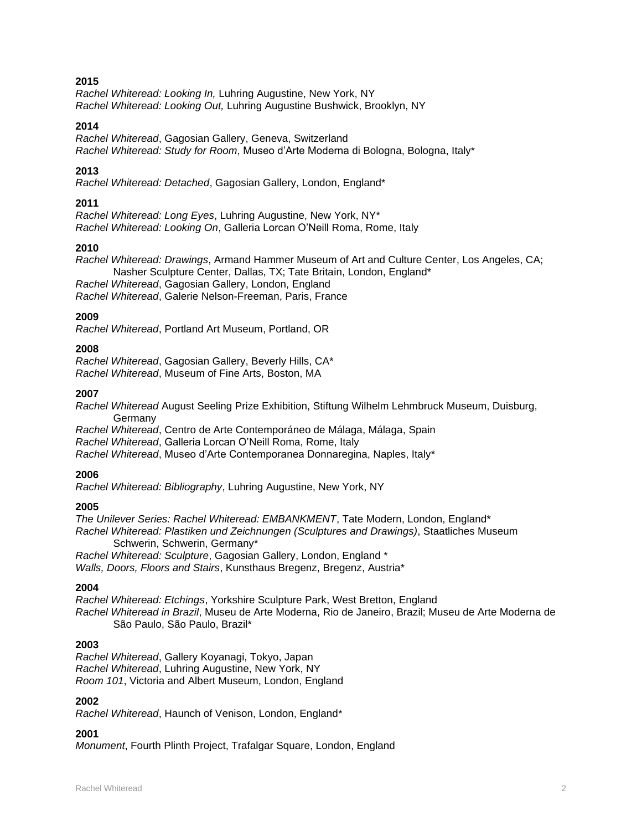*Rachel Whiteread: Looking In,* Luhring Augustine, New York, NY *Rachel Whiteread: Looking Out,* Luhring Augustine Bushwick, Brooklyn, NY

### **2014**

*Rachel Whiteread*, Gagosian Gallery, Geneva, Switzerland *Rachel Whiteread: Study for Room*, Museo d'Arte Moderna di Bologna, Bologna, Italy\*

### **2013**

*Rachel Whiteread: Detached*, Gagosian Gallery, London, England\*

### **2011**

*Rachel Whiteread: Long Eyes*, Luhring Augustine, New York, NY\* *Rachel Whiteread: Looking On*, Galleria Lorcan O'Neill Roma, Rome, Italy

### **2010**

*Rachel Whiteread: Drawings*, Armand Hammer Museum of Art and Culture Center, Los Angeles, CA; Nasher Sculpture Center, Dallas, TX; Tate Britain, London, England\* *Rachel Whiteread*, Gagosian Gallery, London, England

*Rachel Whiteread*, Galerie Nelson-Freeman, Paris, France

#### **2009**

*Rachel Whiteread*, Portland Art Museum, Portland, OR

### **2008**

*Rachel Whiteread*, Gagosian Gallery, Beverly Hills, CA\* *Rachel Whiteread*, Museum of Fine Arts, Boston, MA

### **2007**

*Rachel Whiteread* August Seeling Prize Exhibition, Stiftung Wilhelm Lehmbruck Museum, Duisburg, Germany

*Rachel Whiteread*, Centro de Arte Contemporáneo de Málaga, Málaga, Spain *Rachel Whiteread*, Galleria Lorcan O'Neill Roma, Rome, Italy *Rachel Whiteread*, Museo d'Arte Contemporanea Donnaregina, Naples, Italy\*

### **2006**

*Rachel Whiteread: Bibliography*, Luhring Augustine, New York, NY

### **2005**

*The Unilever Series: Rachel Whiteread: EMBANKMENT*, Tate Modern, London, England\* *Rachel Whiteread: Plastiken und Zeichnungen (Sculptures and Drawings)*, Staatliches Museum Schwerin, Schwerin, Germany\* *Rachel Whiteread: Sculpture*, Gagosian Gallery, London, England \*

*Walls, Doors, Floors and Stairs*, Kunsthaus Bregenz, Bregenz, Austria\*

### **2004**

*Rachel Whiteread: Etchings*, Yorkshire Sculpture Park, West Bretton, England *Rachel Whiteread in Brazil*, Museu de Arte Moderna, Rio de Janeiro, Brazil; Museu de Arte Moderna de São Paulo, São Paulo, Brazil\*

#### **2003**

*Rachel Whiteread*, Gallery Koyanagi, Tokyo, Japan *Rachel Whiteread*, Luhring Augustine, New York, NY *Room 101*, Victoria and Albert Museum, London, England

### **2002**

*Rachel Whiteread*, Haunch of Venison, London, England\*

### **2001**

*Monument*, Fourth Plinth Project, Trafalgar Square, London, England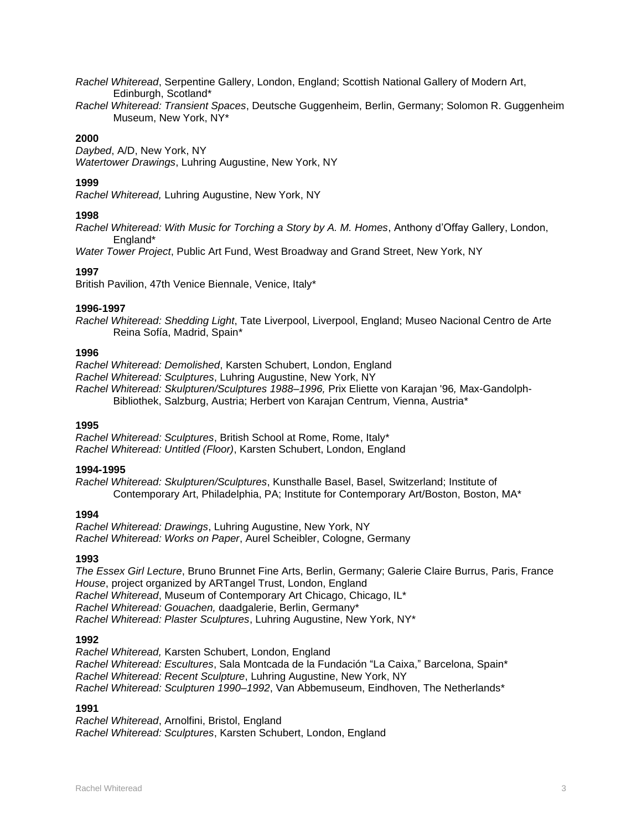*Rachel Whiteread*, Serpentine Gallery, London, England; Scottish National Gallery of Modern Art, Edinburgh, Scotland\*

*Rachel Whiteread: Transient Spaces*, Deutsche Guggenheim, Berlin, Germany; Solomon R. Guggenheim Museum, New York, NY\*

### **2000**

*Daybed*, A/D, New York, NY *Watertower Drawings*, Luhring Augustine, New York, NY

### **1999**

*Rachel Whiteread,* Luhring Augustine, New York, NY

### **1998**

*Rachel Whiteread: With Music for Torching a Story by A. M. Homes*, Anthony d'Offay Gallery, London, England\*

*Water Tower Project*, Public Art Fund, West Broadway and Grand Street, New York, NY

### **1997**

British Pavilion, 47th Venice Biennale, Venice, Italy\*

### **1996-1997**

*Rachel Whiteread: Shedding Light*, Tate Liverpool, Liverpool, England; Museo Nacional Centro de Arte Reina Sofía, Madrid, Spain\*

### **1996**

*Rachel Whiteread: Demolished*, Karsten Schubert, London, England

*Rachel Whiteread: Sculptures*, Luhring Augustine, New York, NY

*Rachel Whiteread: Skulpturen/Sculptures 1988–1996,* Prix Eliette von Karajan '96*,* Max-Gandolph-Bibliothek, Salzburg, Austria; Herbert von Karajan Centrum, Vienna, Austria\*

### **1995**

*Rachel Whiteread: Sculptures*, British School at Rome, Rome, Italy\* *Rachel Whiteread: Untitled (Floor)*, Karsten Schubert, London, England

### **1994-1995**

*Rachel Whiteread: Skulpturen/Sculptures*, Kunsthalle Basel, Basel, Switzerland; Institute of Contemporary Art, Philadelphia, PA; Institute for Contemporary Art/Boston, Boston, MA\*

### **1994**

*Rachel Whiteread: Drawings*, Luhring Augustine, New York, NY *Rachel Whiteread: Works on Paper*, Aurel Scheibler, Cologne, Germany

### **1993**

*The Essex Girl Lecture*, Bruno Brunnet Fine Arts, Berlin, Germany; Galerie Claire Burrus, Paris, France *House*, project organized by ARTangel Trust, London, England *Rachel Whiteread*, Museum of Contemporary Art Chicago, Chicago, IL\* *Rachel Whiteread: Gouachen,* daadgalerie, Berlin, Germany\* *Rachel Whiteread: Plaster Sculptures*, Luhring Augustine, New York, NY\*

### **1992**

*Rachel Whiteread,* Karsten Schubert, London, England *Rachel Whiteread: Escultures*, Sala Montcada de la Fundación "La Caixa," Barcelona, Spain\* *Rachel Whiteread: Recent Sculpture*, Luhring Augustine, New York, NY *Rachel Whiteread: Sculpturen 1990–1992*, Van Abbemuseum, Eindhoven, The Netherlands\*

### **1991**

*Rachel Whiteread*, Arnolfini, Bristol, England *Rachel Whiteread: Sculptures*, Karsten Schubert, London, England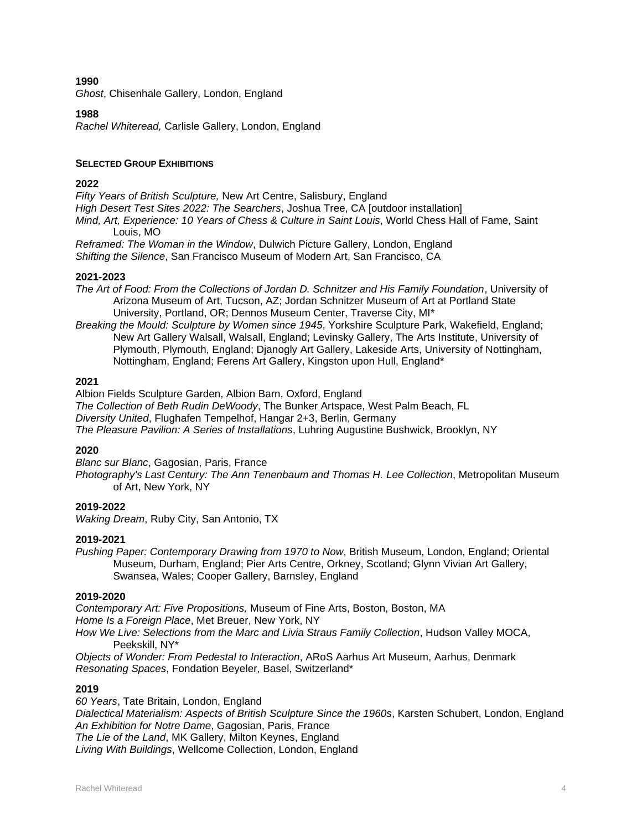*Ghost*, Chisenhale Gallery, London, England

### **1988**

*Rachel Whiteread,* Carlisle Gallery, London, England

### **SELECTED GROUP EXHIBITIONS**

### **2022**

*Fifty Years of British Sculpture,* New Art Centre, Salisbury, England *High Desert Test Sites 2022: The Searchers*, Joshua Tree, CA [outdoor installation] *Mind, Art, Experience: 10 Years of Chess & Culture in Saint Louis*, World Chess Hall of Fame, Saint Louis, MO *Reframed: The Woman in the Window*, Dulwich Picture Gallery, London, England *Shifting the Silence*, San Francisco Museum of Modern Art, San Francisco, CA

### **2021-2023**

*The Art of Food: From the Collections of Jordan D. Schnitzer and His Family Foundation*, University of Arizona Museum of Art, Tucson, AZ; Jordan Schnitzer Museum of Art at Portland State University, Portland, OR; Dennos Museum Center, Traverse City, MI\*

*Breaking the Mould: Sculpture by Women since 1945*, Yorkshire Sculpture Park, Wakefield, England; New Art Gallery Walsall, Walsall, England; Levinsky Gallery, The Arts Institute, University of Plymouth, Plymouth, England; Djanogly Art Gallery, Lakeside Arts, University of Nottingham, Nottingham, England; Ferens Art Gallery, Kingston upon Hull, England\*

### **2021**

Albion Fields Sculpture Garden, Albion Barn, Oxford, England *The Collection of Beth Rudin DeWoody*, The Bunker Artspace, West Palm Beach, FL *Diversity United*, Flughafen Tempelhof, Hangar 2+3, Berlin, Germany *The Pleasure Pavilion: A Series of Installations*, Luhring Augustine Bushwick, Brooklyn, NY

### **2020**

*Blanc sur Blanc*, Gagosian, Paris, France *Photography's Last Century: The Ann Tenenbaum and Thomas H. Lee Collection*, Metropolitan Museum of Art, New York, NY

### **2019-2022**

*Waking Dream*, Ruby City, San Antonio, TX

#### **2019-2021**

*Pushing Paper: Contemporary Drawing from 1970 to Now*, British Museum, London, England; Oriental Museum, Durham, England; Pier Arts Centre, Orkney, Scotland; Glynn Vivian Art Gallery, Swansea, Wales; Cooper Gallery, Barnsley, England

#### **2019-2020**

*Contemporary Art: Five Propositions,* Museum of Fine Arts, Boston, Boston, MA *Home Is a Foreign Place*, Met Breuer, New York, NY *How We Live: Selections from the Marc and Livia Straus Family Collection*, Hudson Valley MOCA, Peekskill, NY\*

*Objects of Wonder: From Pedestal to Interaction*, ARoS Aarhus Art Museum, Aarhus, Denmark *Resonating Spaces*, Fondation Beyeler, Basel, Switzerland\*

### **2019**

*60 Years*, Tate Britain, London, England

*Dialectical Materialism: Aspects of British Sculpture Since the 1960s*, Karsten Schubert, London, England *An Exhibition for Notre Dame*, Gagosian, Paris, France

*The Lie of the Land*, MK Gallery, Milton Keynes, England

*Living With Buildings*, Wellcome Collection, London, England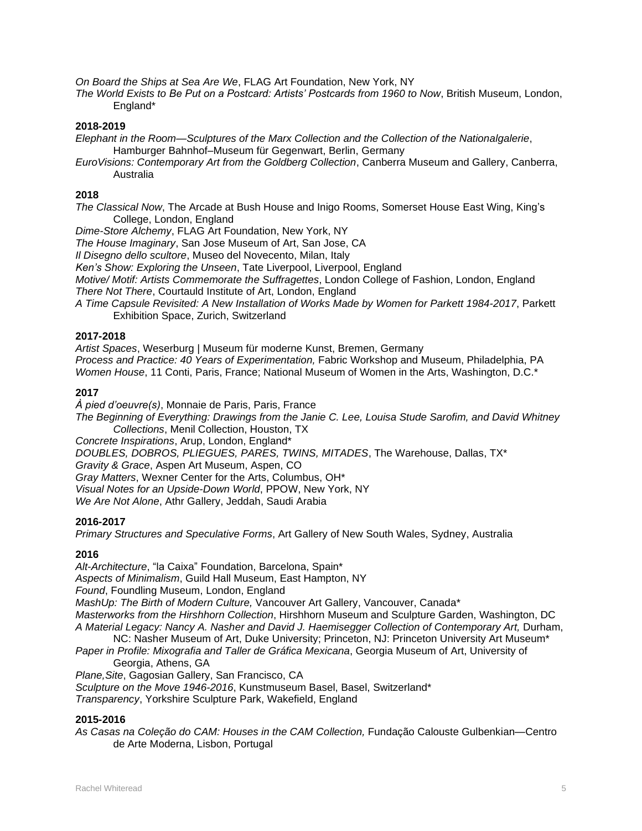*On Board the Ships at Sea Are We*, FLAG Art Foundation, New York, NY

*The World Exists to Be Put on a Postcard: Artists' Postcards from 1960 to Now*, British Museum, London, England\*

### **2018-2019**

- *Elephant in the Room—Sculptures of the Marx Collection and the Collection of the Nationalgalerie*, Hamburger Bahnhof–Museum für Gegenwart, Berlin, Germany
- *EuroVisions: Contemporary Art from the Goldberg Collection*, Canberra Museum and Gallery, Canberra, Australia

### **2018**

*The Classical Now*, The Arcade at Bush House and Inigo Rooms, Somerset House East Wing, King's College, London, England

*Dime-Store Alchemy*, FLAG Art Foundation, New York, NY

*The House Imaginary*, San Jose Museum of Art, San Jose, CA

*Il Disegno dello scultore*, Museo del Novecento, Milan, Italy

*Ken's Show: Exploring the Unseen*, Tate Liverpool, Liverpool, England

*Motive/ Motif: Artists Commemorate the Suffragettes*, London College of Fashion, London, England *There Not There*, Courtauld Institute of Art, London, England

*A Time Capsule Revisited: A New Installation of Works Made by Women for Parkett 1984-2017*, Parkett Exhibition Space, Zurich, Switzerland

### **2017-2018**

*Artist Spaces*, Weserburg | Museum für moderne Kunst, Bremen, Germany *Process and Practice: 40 Years of Experimentation,* Fabric Workshop and Museum, Philadelphia, PA *Women House*, 11 Conti, Paris, France; National Museum of Women in the Arts, Washington, D.C.\*

### **2017**

*À pied d'oeuvre(s)*, Monnaie de Paris, Paris, France *The Beginning of Everything: Drawings from the Janie C. Lee, Louisa Stude Sarofim, and David Whitney Collections*, Menil Collection, Houston, TX *Concrete Inspirations*, Arup, London, England\* *DOUBLES, DOBROS, PLIEGUES, PARES, TWINS, MITADES*, The Warehouse, Dallas, TX\* *Gravity & Grace*, Aspen Art Museum, Aspen, CO *Gray Matters*, Wexner Center for the Arts, Columbus, OH\* *Visual Notes for an Upside-Down World*, PPOW, New York, NY

*We Are Not Alone*, Athr Gallery, Jeddah, Saudi Arabia

### **2016-2017**

*Primary Structures and Speculative Forms*, Art Gallery of New South Wales, Sydney, Australia

### **2016**

*Alt-Architecture*, "la Caixa" Foundation, Barcelona, Spain\* *Aspects of Minimalism*, Guild Hall Museum, East Hampton, NY *Found*, Foundling Museum, London, England *MashUp: The Birth of Modern Culture,* Vancouver Art Gallery, Vancouver, Canada\* *Masterworks from the Hirshhorn Collection*, Hirshhorn Museum and Sculpture Garden, Washington, DC *A Material Legacy: Nancy A. Nasher and David J. Haemisegger Collection of Contemporary Art,* Durham, NC: Nasher Museum of Art, Duke University; Princeton, NJ: Princeton University Art Museum\* *Paper in Profile: Mixografia and Taller de Gráfica Mexicana*, Georgia Museum of Art, University of

Georgia, Athens, GA

*Plane,Site*, Gagosian Gallery, San Francisco, CA

*Sculpture on the Move 1946-2016*, Kunstmuseum Basel, Basel, Switzerland\*

*Transparency*, Yorkshire Sculpture Park, Wakefield, England

### **2015-2016**

*As Casas na Coleção do CAM: Houses in the CAM Collection,* Fundação Calouste Gulbenkian—Centro de Arte Moderna, Lisbon, Portugal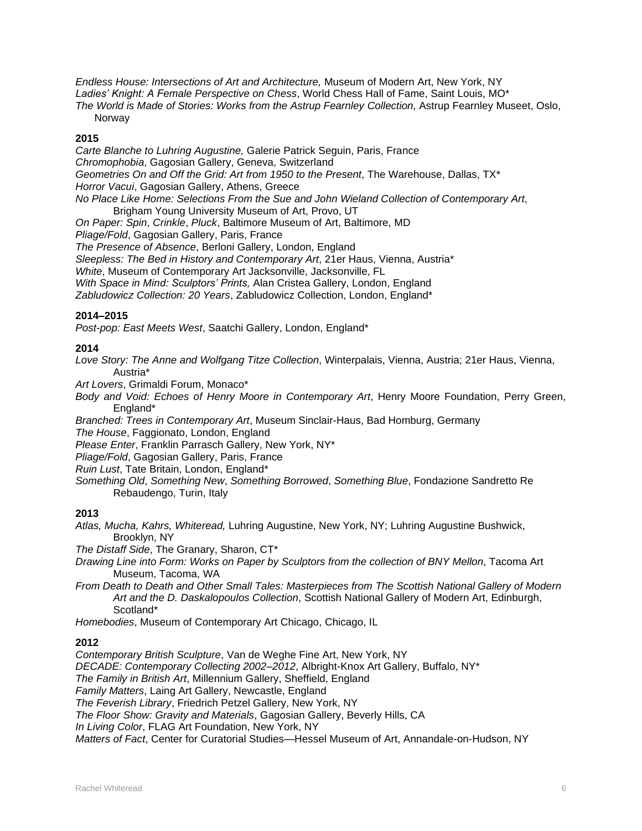*Endless House: Intersections of Art and Architecture,* Museum of Modern Art, New York, NY *Ladies' Knight: A Female Perspective on Chess*, World Chess Hall of Fame, Saint Louis, MO\* *The World is Made of Stories: Works from the Astrup Fearnley Collection,* Astrup Fearnley Museet, Oslo, **Norway** 

## **2015**

*Carte Blanche to Luhring Augustine,* Galerie Patrick Seguin, Paris, France *Chromophobia*, Gagosian Gallery, Geneva, Switzerland *Geometries On and Off the Grid: Art from 1950 to the Present*, The Warehouse, Dallas, TX\* *Horror Vacui*, Gagosian Gallery, Athens, Greece *No Place Like Home: Selections From the Sue and John Wieland Collection of Contemporary Art*, Brigham Young University Museum of Art, Provo, UT *On Paper: Spin*, *Crinkle*, *Pluck*, Baltimore Museum of Art, Baltimore, MD *Pliage/Fold*, Gagosian Gallery, Paris, France *The Presence of Absence*, Berloni Gallery, London, England *Sleepless: The Bed in History and Contemporary Art*, 21er Haus, Vienna, Austria\* *White*, Museum of Contemporary Art Jacksonville, Jacksonville, FL *With Space in Mind: Sculptors' Prints,* Alan Cristea Gallery, London, England

*Zabludowicz Collection: 20 Years*, Zabludowicz Collection, London, England\*

### **2014–2015**

*Post-pop: East Meets West*, Saatchi Gallery, London, England\*

### **2014**

*Love Story: The Anne and Wolfgang Titze Collection*, Winterpalais, Vienna, Austria; 21er Haus, Vienna, Austria\*

*Art Lovers*, Grimaldi Forum, Monaco\*

*Body and Void: Echoes of Henry Moore in Contemporary Art*, Henry Moore Foundation, Perry Green, England\*

*Branched: Trees in Contemporary Art*, Museum Sinclair-Haus, Bad Homburg, Germany

*The House*, Faggionato, London, England

*Please Enter*, Franklin Parrasch Gallery, New York, NY\*

*Pliage/Fold*, Gagosian Gallery, Paris, France

*Ruin Lust*, Tate Britain, London, England\*

*Something Old*, *Something New*, *Something Borrowed*, *Something Blue*, Fondazione Sandretto Re Rebaudengo, Turin, Italy

### **2013**

*Atlas, Mucha, Kahrs, Whiteread,* Luhring Augustine, New York, NY; Luhring Augustine Bushwick, Brooklyn, NY

*The Distaff Side*, The Granary, Sharon, CT\*

*Drawing Line into Form: Works on Paper by Sculptors from the collection of BNY Mellon*, Tacoma Art Museum, Tacoma, WA

*From Death to Death and Other Small Tales: Masterpieces from The Scottish National Gallery of Modern Art and the D. Daskalopoulos Collection*, Scottish National Gallery of Modern Art, Edinburgh, Scotland\*

*Homebodies*, Museum of Contemporary Art Chicago, Chicago, IL

### **2012**

*Contemporary British Sculpture*, Van de Weghe Fine Art, New York, NY *DECADE: Contemporary Collecting 2002–2012*, Albright-Knox Art Gallery, Buffalo, NY\* *The Family in British Art*, Millennium Gallery, Sheffield, England *Family Matters*, Laing Art Gallery, Newcastle, England *The Feverish Library*, Friedrich Petzel Gallery, New York, NY *The Floor Show: Gravity and Materials*, Gagosian Gallery, Beverly Hills, CA *In Living Color*, FLAG Art Foundation, New York, NY *Matters of Fact*, Center for Curatorial Studies—Hessel Museum of Art, Annandale-on-Hudson, NY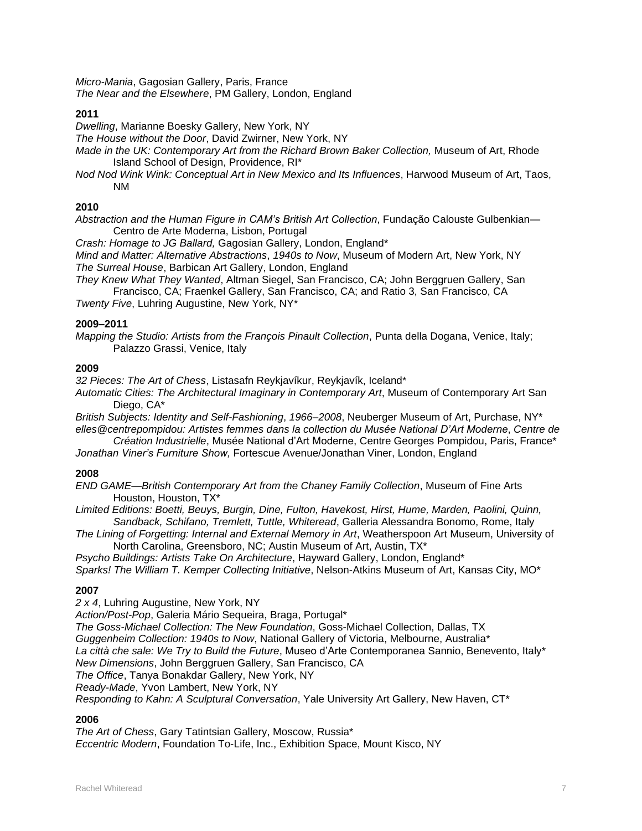*Micro-Mania*, Gagosian Gallery, Paris, France *The Near and the Elsewhere*, PM Gallery, London, England

### **2011**

*Dwelling*, Marianne Boesky Gallery, New York, NY

*The House without the Door*, David Zwirner, New York, NY

*Made in the UK: Contemporary Art from the Richard Brown Baker Collection,* Museum of Art, Rhode Island School of Design, Providence, RI\*

*Nod Nod Wink Wink: Conceptual Art in New Mexico and Its Influences*, Harwood Museum of Art, Taos, NM

### **2010**

*Abstraction and the Human Figure in CAM's British Art Collection*, Fundação Calouste Gulbenkian— Centro de Arte Moderna, Lisbon, Portugal

*Crash: Homage to JG Ballard,* Gagosian Gallery, London, England\*

*Mind and Matter: Alternative Abstractions*, *1940s to Now*, Museum of Modern Art, New York, NY *The Surreal House*, Barbican Art Gallery, London, England

*They Knew What They Wanted*, Altman Siegel, San Francisco, CA; John Berggruen Gallery, San Francisco, CA; Fraenkel Gallery, San Francisco, CA; and Ratio 3, San Francisco, CA

*Twenty Five*, Luhring Augustine, New York, NY\*

### **2009–2011**

*Mapping the Studio: Artists from the François Pinault Collection*, Punta della Dogana, Venice, Italy; Palazzo Grassi, Venice, Italy

### **2009**

*32 Pieces: The Art of Chess*, Listasafn Reykjavíkur, Reykjavík, Iceland\*

*Automatic Cities: The Architectural Imaginary in Contemporary Art*, Museum of Contemporary Art San Diego, CA\*

*British Subjects: Identity and Self-Fashioning*, *1966–2008*, Neuberger Museum of Art, Purchase, NY\* *elles@centrepompidou: Artistes femmes dans la collection du Musée National D'Art Moderne*, *Centre de* 

*Création Industrielle*, Musée National d'Art Moderne, Centre Georges Pompidou, Paris, France\* *Jonathan Viner's Furniture Show,* Fortescue Avenue/Jonathan Viner, London, England

### **2008**

*END GAME—British Contemporary Art from the Chaney Family Collection*, Museum of Fine Arts Houston, Houston, TX\*

*Limited Editions: Boetti, Beuys, Burgin, Dine, Fulton, Havekost, Hirst, Hume, Marden, Paolini, Quinn, Sandback, Schifano, Tremlett, Tuttle, Whiteread*, Galleria Alessandra Bonomo, Rome, Italy

*The Lining of Forgetting: Internal and External Memory in Art*, Weatherspoon Art Museum, University of North Carolina, Greensboro, NC; Austin Museum of Art, Austin, TX\*

*Psycho Buildings: Artists Take On Architecture*, Hayward Gallery, London, England\*

*Sparks! The William T. Kemper Collecting Initiative*, Nelson-Atkins Museum of Art, Kansas City, MO\*

### **2007**

*2 x 4*, Luhring Augustine, New York, NY

*Action/Post-Pop*, Galeria Mário Sequeira, Braga, Portugal\*

*The Goss-Michael Collection: The New Foundation*, Goss-Michael Collection, Dallas, TX

*Guggenheim Collection: 1940s to Now*, National Gallery of Victoria, Melbourne, Australia\*

*La città che sale: We Try to Build the Future*, Museo d'Arte Contemporanea Sannio, Benevento, Italy\*

*New Dimensions*, John Berggruen Gallery, San Francisco, CA

*The Office*, Tanya Bonakdar Gallery, New York, NY

*Ready-Made*, Yvon Lambert, New York, NY

*Responding to Kahn: A Sculptural Conversation*, Yale University Art Gallery, New Haven, CT\*

### **2006**

*The Art of Chess*, Gary Tatintsian Gallery, Moscow, Russia\*

*Eccentric Modern*, Foundation To-Life, Inc., Exhibition Space, Mount Kisco, NY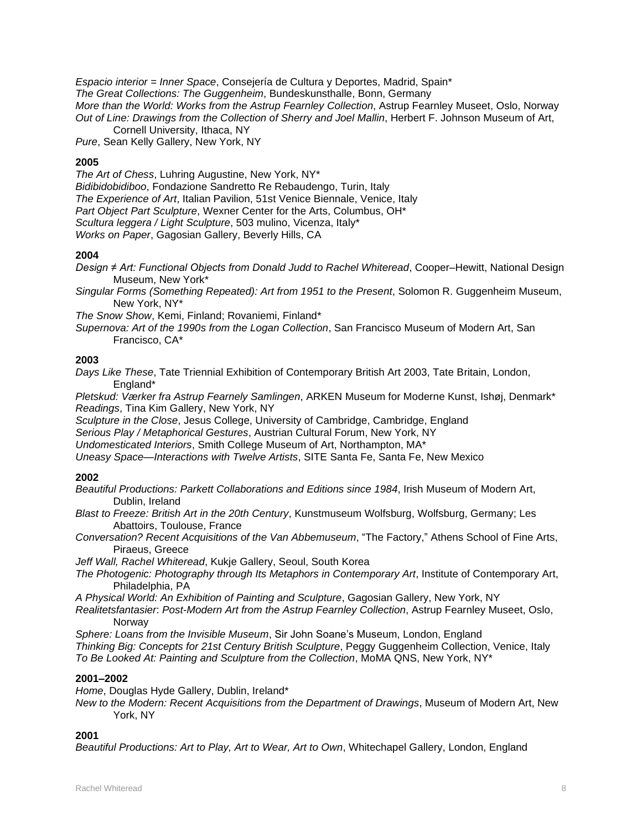*Espacio interior = Inner Space*, Consejería de Cultura y Deportes, Madrid, Spain\* *The Great Collections: The Guggenheim*, Bundeskunsthalle, Bonn, Germany *More than the World: Works from the Astrup Fearnley Collection*, Astrup Fearnley Museet, Oslo, Norway *Out of Line: Drawings from the Collection of Sherry and Joel Mallin*, Herbert F. Johnson Museum of Art, Cornell University, Ithaca, NY

*Pure*, Sean Kelly Gallery, New York, NY

### **2005**

*The Art of Chess*, Luhring Augustine, New York, NY\* *Bidibidobidiboo*, Fondazione Sandretto Re Rebaudengo, Turin, Italy *The Experience of Art*, Italian Pavilion, 51st Venice Biennale, Venice, Italy *Part Object Part Sculpture*, Wexner Center for the Arts, Columbus, OH\* *Scultura leggera / Light Sculpture*, 503 mulino, Vicenza, Italy\* *Works on Paper*, Gagosian Gallery, Beverly Hills, CA

### **2004**

*Design ≠ Art: Functional Objects from Donald Judd to Rachel Whiteread*, Cooper–Hewitt, National Design Museum, New York\*

*Singular Forms (Something Repeated): Art from 1951 to the Present*, Solomon R. Guggenheim Museum, New York, NY\*

*The Snow Show*, Kemi, Finland; Rovaniemi, Finland\*

*Supernova: Art of the 1990s from the Logan Collection*, San Francisco Museum of Modern Art, San Francisco, CA\*

### **2003**

*Days Like These*, Tate Triennial Exhibition of Contemporary British Art 2003, Tate Britain, London, England\*

*Pletskud: Værker fra Astrup Fearnely Samlingen*, ARKEN Museum for Moderne Kunst, Ishøj, Denmark\* *Readings*, Tina Kim Gallery, New York, NY

*Sculpture in the Close*, Jesus College, University of Cambridge, Cambridge, England

*Serious Play / Metaphorical Gestures*, Austrian Cultural Forum, New York, NY

*Undomesticated Interiors*, Smith College Museum of Art, Northampton, MA\*

*Uneasy Space—Interactions with Twelve Artists*, SITE Santa Fe, Santa Fe, New Mexico

### **2002**

*Beautiful Productions: Parkett Collaborations and Editions since 1984*, Irish Museum of Modern Art, Dublin, Ireland

*Blast to Freeze: British Art in the 20th Century*, Kunstmuseum Wolfsburg, Wolfsburg, Germany; Les Abattoirs, Toulouse, France

*Conversation? Recent Acquisitions of the Van Abbemuseum*, "The Factory," Athens School of Fine Arts, Piraeus, Greece

*Jeff Wall, Rachel Whiteread*, Kukje Gallery, Seoul, South Korea

*The Photogenic: Photography through Its Metaphors in Contemporary Art*, Institute of Contemporary Art, Philadelphia, PA

*A Physical World: An Exhibition of Painting and Sculpture*, Gagosian Gallery, New York, NY

*Realitetsfantasier*: *Post-Modern Art from the Astrup Fearnley Collection*, Astrup Fearnley Museet, Oslo, **Norway** 

*Sphere: Loans from the Invisible Museum*, Sir John Soane's Museum, London, England *Thinking Big: Concepts for 21st Century British Sculpture*, Peggy Guggenheim Collection, Venice, Italy *To Be Looked At: Painting and Sculpture from the Collection*, MoMA QNS, New York, NY\*

### **2001–2002**

*Home*, Douglas Hyde Gallery, Dublin, Ireland\*

*New to the Modern: Recent Acquisitions from the Department of Drawings*, Museum of Modern Art, New York, NY

### **2001**

*Beautiful Productions: Art to Play, Art to Wear, Art to Own*, Whitechapel Gallery, London, England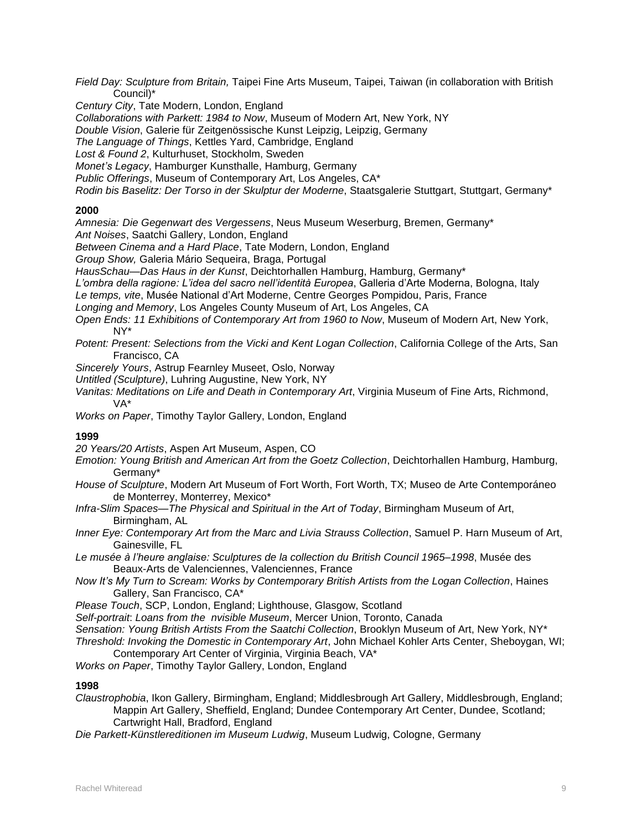*Field Day: Sculpture from Britain,* Taipei Fine Arts Museum, Taipei, Taiwan (in collaboration with British Council)\*

*Century City*, Tate Modern, London, England

*Collaborations with Parkett: 1984 to Now*, Museum of Modern Art, New York, NY

*Double Vision*, Galerie für Zeitgenössische Kunst Leipzig, Leipzig, Germany

*The Language of Things*, Kettles Yard, Cambridge, England

*Lost & Found 2*, Kulturhuset, Stockholm, Sweden

*Monet's Legacy*, Hamburger Kunsthalle, Hamburg, Germany

*Public Offerings*, Museum of Contemporary Art, Los Angeles, CA\*

*Rodin bis Baselitz: Der Torso in der Skulptur der Moderne*, Staatsgalerie Stuttgart, Stuttgart, Germany\*

### **2000**

*Amnesia: Die Gegenwart des Vergessens*, Neus Museum Weserburg, Bremen, Germany\*

*Ant Noises*, Saatchi Gallery, London, England

*Between Cinema and a Hard Place*, Tate Modern, London, England

*Group Show,* Galeria Mário Sequeira, Braga, Portugal

*HausSchau—Das Haus in der Kunst*, Deichtorhallen Hamburg, Hamburg, Germany\*

*L'ombra della ragione: L'idea del sacro nell'identità Europea*, Galleria d'Arte Moderna, Bologna, Italy

*Le temps, vite*, Musée National d'Art Moderne, Centre Georges Pompidou, Paris, France

*Longing and Memory*, Los Angeles County Museum of Art, Los Angeles, CA

*Open Ends: 11 Exhibitions of Contemporary Art from 1960 to Now*, Museum of Modern Art, New York, NY\*

*Potent: Present: Selections from the Vicki and Kent Logan Collection*, California College of the Arts, San Francisco, CA

*Sincerely Yours*, Astrup Fearnley Museet, Oslo, Norway

*Untitled (Sculpture)*, Luhring Augustine, New York, NY

*Vanitas: Meditations on Life and Death in Contemporary Art*, Virginia Museum of Fine Arts, Richmond, VA\*

*Works on Paper*, Timothy Taylor Gallery, London, England

### **1999**

*20 Years/20 Artists*, Aspen Art Museum, Aspen, CO

- *Emotion: Young British and American Art from the Goetz Collection*, Deichtorhallen Hamburg, Hamburg, Germany\*
- *House of Sculpture*, Modern Art Museum of Fort Worth, Fort Worth, TX; Museo de Arte Contemporáneo de Monterrey, Monterrey, Mexico\*
- *Infra-Slim Spaces—The Physical and Spiritual in the Art of Today*, Birmingham Museum of Art, Birmingham, AL

*Inner Eye: Contemporary Art from the Marc and Livia Strauss Collection*, Samuel P. Harn Museum of Art, Gainesville, FL

*Le musée à l'heure anglaise: Sculptures de la collection du British Council 1965–1998*, Musée des Beaux-Arts de Valenciennes, Valenciennes, France

*Now It's My Turn to Scream: Works by Contemporary British Artists from the Logan Collection*, Haines Gallery, San Francisco, CA\*

*Please Touch*, SCP, London, England; Lighthouse, Glasgow, Scotland

*Self-portrait*: *Loans from the nvisible Museum*, Mercer Union, Toronto, Canada

*Sensation: Young British Artists From the Saatchi Collection*, Brooklyn Museum of Art, New York, NY\*

*Threshold: Invoking the Domestic in Contemporary Art*, John Michael Kohler Arts Center, Sheboygan, WI; Contemporary Art Center of Virginia, Virginia Beach, VA\*

*Works on Paper*, Timothy Taylor Gallery, London, England

### **1998**

*Claustrophobia*, Ikon Gallery, Birmingham, England; Middlesbrough Art Gallery, Middlesbrough, England; Mappin Art Gallery, Sheffield, England; Dundee Contemporary Art Center, Dundee, Scotland; Cartwright Hall, Bradford, England

*Die Parkett-Künstlereditionen im Museum Ludwig*, Museum Ludwig, Cologne, Germany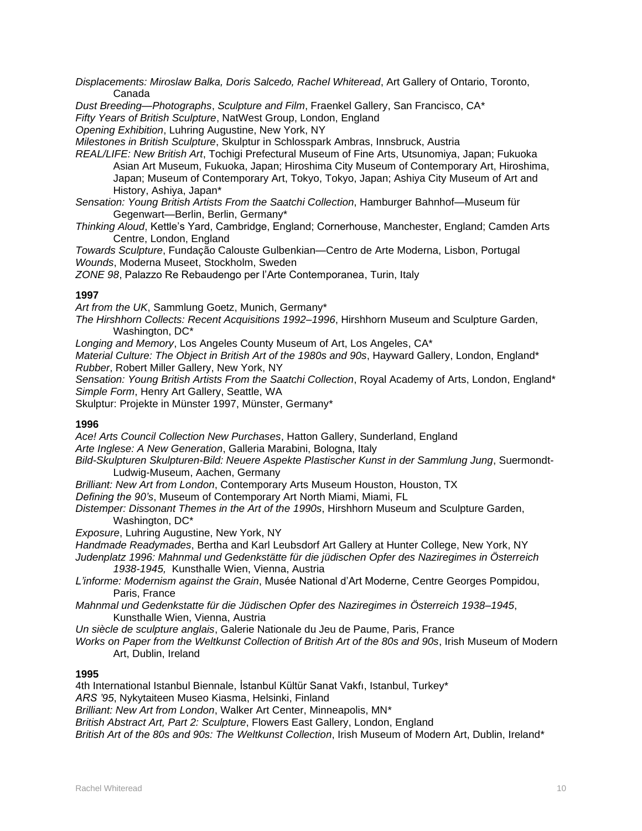*Displacements: Miroslaw Balka, Doris Salcedo, Rachel Whiteread*, Art Gallery of Ontario, Toronto, Canada

*Dust Breeding—Photographs*, *Sculpture and Film*, Fraenkel Gallery, San Francisco, CA\*

*Fifty Years of British Sculpture*, NatWest Group, London, England

*Opening Exhibition*, Luhring Augustine, New York, NY

*Milestones in British Sculpture*, Skulptur in Schlosspark Ambras, Innsbruck, Austria

*REAL/LIFE: New British Art*, Tochigi Prefectural Museum of Fine Arts, Utsunomiya, Japan; Fukuoka Asian Art Museum, Fukuoka, Japan; Hiroshima City Museum of Contemporary Art, Hiroshima, Japan; Museum of Contemporary Art, Tokyo, Tokyo, Japan; Ashiya City Museum of Art and History, Ashiya, Japan\*

*Sensation: Young British Artists From the Saatchi Collection*, Hamburger Bahnhof—Museum für Gegenwart—Berlin, Berlin, Germany\*

*Thinking Aloud*, Kettle's Yard, Cambridge, England; Cornerhouse, Manchester, England; Camden Arts Centre, London, England

*Towards Sculpture*, Fundação Calouste Gulbenkian—Centro de Arte Moderna, Lisbon, Portugal *Wounds*, Moderna Museet, Stockholm, Sweden

*ZONE 98*, Palazzo Re Rebaudengo per l'Arte Contemporanea, Turin, Italy

### **1997**

*Art from the UK*, Sammlung Goetz, Munich, Germany\*

*The Hirshhorn Collects: Recent Acquisitions 1992–1996*, Hirshhorn Museum and Sculpture Garden, Washington, DC\*

*Longing and Memory*, Los Angeles County Museum of Art, Los Angeles, CA\*

*Material Culture: The Object in British Art of the 1980s and 90s*, Hayward Gallery, London, England\* *Rubber*, Robert Miller Gallery, New York, NY

*Sensation: Young British Artists From the Saatchi Collection*, Royal Academy of Arts, London, England\* *Simple Form*, Henry Art Gallery, Seattle, WA

Skulptur: Projekte in Münster 1997, Münster, Germany\*

### **1996**

*Ace! Arts Council Collection New Purchases*, Hatton Gallery, Sunderland, England *Arte Inglese: A New Generation*, Galleria Marabini, Bologna, Italy

*Bild-Skulpturen Skulpturen-Bild: Neuere Aspekte Plastischer Kunst in der Sammlung Jung*, Suermondt-Ludwig-Museum, Aachen, Germany

*Brilliant: New Art from London*, Contemporary Arts Museum Houston, Houston, TX

*Defining the 90's*, Museum of Contemporary Art North Miami, Miami, FL

*Distemper: Dissonant Themes in the Art of the 1990s*, Hirshhorn Museum and Sculpture Garden, Washington, DC\*

*Exposure*, Luhring Augustine, New York, NY

*Handmade Readymades*, Bertha and Karl Leubsdorf Art Gallery at Hunter College, New York, NY

*Judenplatz 1996: Mahnmal und Gedenkstätte für die jüdischen Opfer des Naziregimes in Österreich 1938-1945,* Kunsthalle Wien, Vienna, Austria

*L'informe: Modernism against the Grain*, Musée National d'Art Moderne, Centre Georges Pompidou, Paris, France

*Mahnmal und Gedenkstatte für die Jüdischen Opfer des Naziregimes in Österreich 1938–1945*, Kunsthalle Wien, Vienna, Austria

*Un siècle de sculpture anglais*, Galerie Nationale du Jeu de Paume, Paris, France

*Works on Paper from the Weltkunst Collection of British Art of the 80s and 90s*, Irish Museum of Modern Art, Dublin, Ireland

### **1995**

4th International Istanbul Biennale, İstanbul Kültür Sanat Vakfı, Istanbul, Turkey\*

*ARS '95*, Nykytaiteen Museo Kiasma, Helsinki, Finland

*Brilliant: New Art from London*, Walker Art Center, Minneapolis, MN\*

*British Abstract Art, Part 2: Sculpture*, Flowers East Gallery, London, England

*British Art of the 80s and 90s: The Weltkunst Collection*, Irish Museum of Modern Art, Dublin, Ireland\*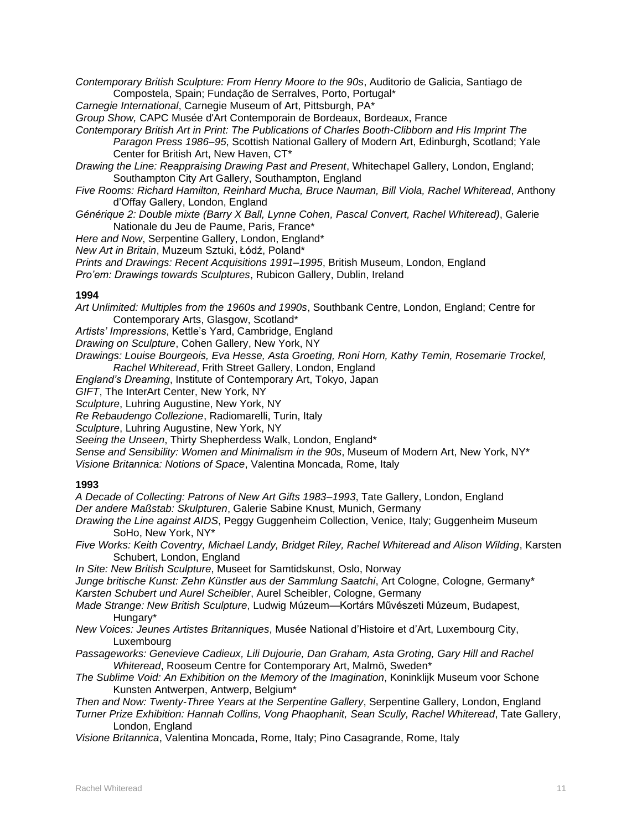*Contemporary British Sculpture: From Henry Moore to the 90s*, Auditorio de Galicia, Santiago de Compostela, Spain; Fundação de Serralves, Porto, Portugal\*

*Carnegie International*, Carnegie Museum of Art, Pittsburgh, PA\*

*Group Show,* CAPC Musée d'Art Contemporain de Bordeaux, Bordeaux, France

*Contemporary British Art in Print: The Publications of Charles Booth-Clibborn and His Imprint The* 

*Paragon Press 1986–95*, Scottish National Gallery of Modern Art, Edinburgh, Scotland; Yale Center for British Art, New Haven, CT\*

*Drawing the Line: Reappraising Drawing Past and Present*, Whitechapel Gallery, London, England; Southampton City Art Gallery, Southampton, England

*Five Rooms: Richard Hamilton, Reinhard Mucha, Bruce Nauman, Bill Viola, Rachel Whiteread*, Anthony d'Offay Gallery, London, England

*Générique 2: Double mixte (Barry X Ball, Lynne Cohen, Pascal Convert, Rachel Whiteread)*, Galerie Nationale du Jeu de Paume, Paris, France\*

*Here and Now*, Serpentine Gallery, London, England\*

*New Art in Britain*, Muzeum Sztuki, Łódź, Poland\*

*Prints and Drawings: Recent Acquisitions 1991–1995*, British Museum, London, England

*Pro'em: Drawings towards Sculptures*, Rubicon Gallery, Dublin, Ireland

### **1994**

*Art Unlimited: Multiples from the 1960s and 1990s*, Southbank Centre, London, England; Centre for Contemporary Arts, Glasgow, Scotland\*

*Artists' Impressions*, Kettle's Yard, Cambridge, England

*Drawing on Sculpture*, Cohen Gallery, New York, NY

*Drawings: Louise Bourgeois, Eva Hesse, Asta Groeting, Roni Horn, Kathy Temin, Rosemarie Trockel, Rachel Whiteread*, Frith Street Gallery, London, England

*England's Dreaming*, Institute of Contemporary Art, Tokyo, Japan

*GIFT*, The InterArt Center, New York, NY

*Sculpture*, Luhring Augustine, New York, NY

*Re Rebaudengo Collezione*, Radiomarelli, Turin, Italy

*Sculpture*, Luhring Augustine, New York, NY

*Seeing the Unseen*, Thirty Shepherdess Walk, London, England\*

*Sense and Sensibility: Women and Minimalism in the 90s*, Museum of Modern Art, New York, NY\* *Visione Britannica: Notions of Space*, Valentina Moncada, Rome, Italy

### **1993**

*A Decade of Collecting: Patrons of New Art Gifts 1983–1993*, Tate Gallery, London, England *Der andere Maßstab: Skulpturen*, Galerie Sabine Knust, Munich, Germany

*Drawing the Line against AIDS*, Peggy Guggenheim Collection, Venice, Italy; Guggenheim Museum SoHo, New York, NY\*

*Five Works: Keith Coventry, Michael Landy, Bridget Riley, Rachel Whiteread and Alison Wilding*, Karsten Schubert, London, England

*In Site: New British Sculpture*, Museet for Samtidskunst, Oslo, Norway

*Junge britische Kunst: Zehn Künstler aus der Sammlung Saatchi*, Art Cologne, Cologne, Germany\* *Karsten Schubert und Aurel Scheibler*, Aurel Scheibler, Cologne, Germany

- *Made Strange: New British Sculpture*, Ludwig Múzeum—Kortárs Művészeti Múzeum, Budapest, Hungary\*
- *New Voices: Jeunes Artistes Britanniques*, Musée National d'Histoire et d'Art, Luxembourg City, Luxembourg
- *Passageworks: Genevieve Cadieux, Lili Dujourie, Dan Graham, Asta Groting, Gary Hill and Rachel Whiteread*, Rooseum Centre for Contemporary Art, Malmö, Sweden\*
- *The Sublime Void: An Exhibition on the Memory of the Imagination*, Koninklijk Museum voor Schone Kunsten Antwerpen, Antwerp, Belgium\*

*Then and Now: Twenty-Three Years at the Serpentine Gallery*, Serpentine Gallery, London, England

*Turner Prize Exhibition: Hannah Collins, Vong Phaophanit, Sean Scully, Rachel Whiteread*, Tate Gallery, London, England

*Visione Britannica*, Valentina Moncada, Rome, Italy; Pino Casagrande, Rome, Italy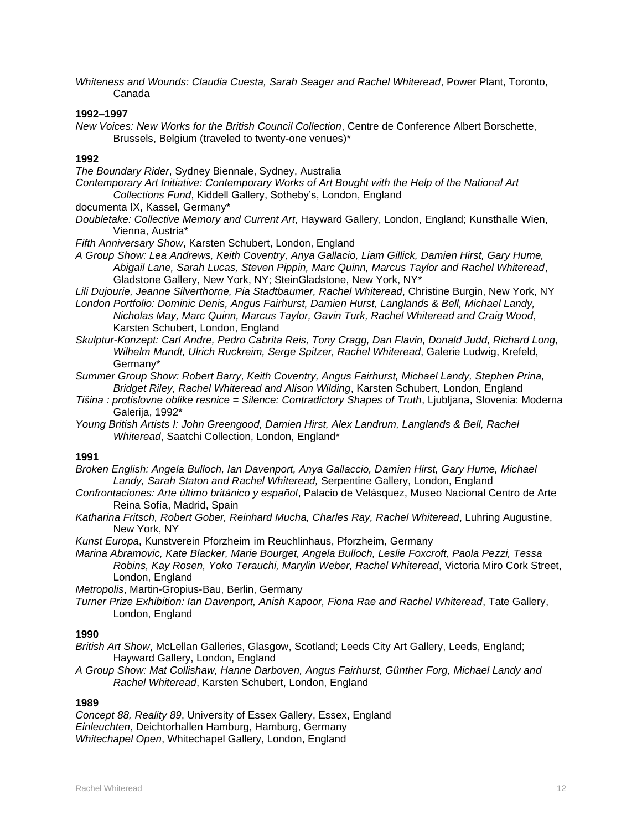*Whiteness and Wounds: Claudia Cuesta, Sarah Seager and Rachel Whiteread*, Power Plant, Toronto, Canada

### **1992–1997**

*New Voices: New Works for the British Council Collection*, Centre de Conference Albert Borschette, Brussels, Belgium (traveled to twenty-one venues)\*

### **1992**

*The Boundary Rider*, Sydney Biennale, Sydney, Australia

- *Contemporary Art Initiative: Contemporary Works of Art Bought with the Help of the National Art Collections Fund*, Kiddell Gallery, Sotheby's, London, England
- documenta IX, Kassel, Germany\*
- *Doubletake: Collective Memory and Current Art*, Hayward Gallery, London, England; Kunsthalle Wien, Vienna, Austria\*

*Fifth Anniversary Show*, Karsten Schubert, London, England

*A Group Show: Lea Andrews, Keith Coventry, Anya Gallacio, Liam Gillick, Damien Hirst, Gary Hume, Abigail Lane, Sarah Lucas, Steven Pippin, Marc Quinn, Marcus Taylor and Rachel Whiteread*, Gladstone Gallery, New York, NY; SteinGladstone, New York, NY\*

*Lili Dujourie, Jeanne Silverthorne, Pia Stadtbaumer, Rachel Whiteread*, Christine Burgin, New York, NY

*London Portfolio: Dominic Denis, Angus Fairhurst, Damien Hurst, Langlands & Bell, Michael Landy, Nicholas May, Marc Quinn, Marcus Taylor, Gavin Turk, Rachel Whiteread and Craig Wood*, Karsten Schubert, London, England

*Skulptur-Konzept: Carl Andre, Pedro Cabrita Reis, Tony Cragg, Dan Flavin, Donald Judd, Richard Long, Wilhelm Mundt, Ulrich Ruckreim, Serge Spitzer, Rachel Whiteread*, Galerie Ludwig, Krefeld, Germany\*

*Summer Group Show: Robert Barry, Keith Coventry, Angus Fairhurst, Michael Landy, Stephen Prina, Bridget Riley, Rachel Whiteread and Alison Wilding*, Karsten Schubert, London, England

- *Tišina : protislovne oblike resnice = Silence: Contradictory Shapes of Truth*, Ljubljana, Slovenia: Moderna Galerija, 1992\*
- *Young British Artists I: John Greengood, Damien Hirst, Alex Landrum, Langlands & Bell, Rachel Whiteread*, Saatchi Collection, London, England\*

### **1991**

*Broken English: Angela Bulloch, Ian Davenport, Anya Gallaccio, Damien Hirst, Gary Hume, Michael Landy, Sarah Staton and Rachel Whiteread,* Serpentine Gallery, London, England

- *Confrontaciones: Arte último británico y español*, Palacio de Velásquez, Museo Nacional Centro de Arte Reina Sofía, Madrid, Spain
- *Katharina Fritsch, Robert Gober, Reinhard Mucha, Charles Ray, Rachel Whiteread*, Luhring Augustine, New York, NY

*Kunst Europa*, Kunstverein Pforzheim im Reuchlinhaus, Pforzheim, Germany

*Marina Abramovic, Kate Blacker, Marie Bourget, Angela Bulloch, Leslie Foxcroft, Paola Pezzi, Tessa Robins, Kay Rosen, Yoko Terauchi, Marylin Weber, Rachel Whiteread*, Victoria Miro Cork Street, London, England

*Metropolis*, Martin-Gropius-Bau, Berlin, Germany

*Turner Prize Exhibition: Ian Davenport, Anish Kapoor, Fiona Rae and Rachel Whiteread*, Tate Gallery, London, England

### **1990**

- *British Art Show*, McLellan Galleries, Glasgow, Scotland; Leeds City Art Gallery, Leeds, England; Hayward Gallery, London, England
- *A Group Show: Mat Collishaw, Hanne Darboven, Angus Fairhurst, Günther Forg, Michael Landy and Rachel Whiteread*, Karsten Schubert, London, England

#### **1989**

*Concept 88, Reality 89*, University of Essex Gallery, Essex, England *Einleuchten*, Deichtorhallen Hamburg, Hamburg, Germany *Whitechapel Open*, Whitechapel Gallery, London, England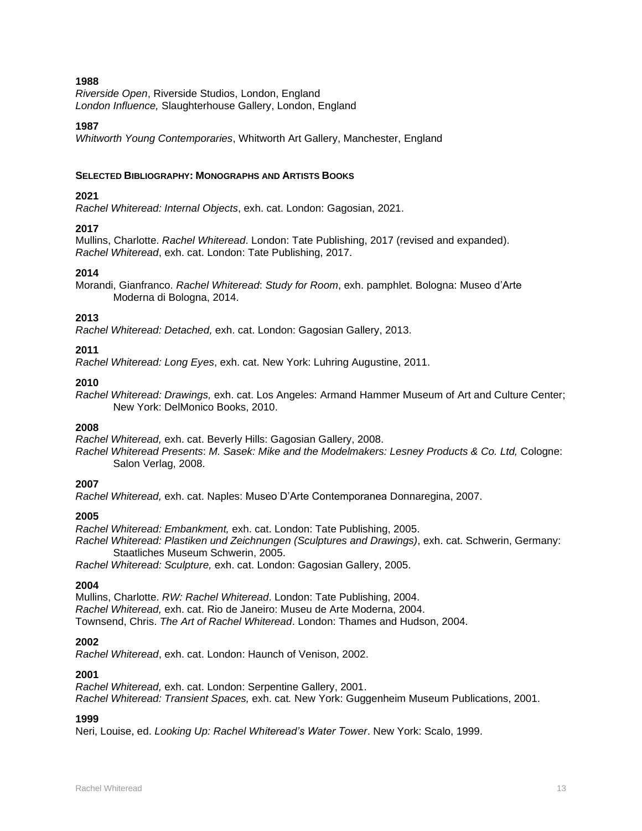*Riverside Open*, Riverside Studios, London, England *London Influence,* Slaughterhouse Gallery, London, England

### **1987**

*Whitworth Young Contemporaries*, Whitworth Art Gallery, Manchester, England

### **SELECTED BIBLIOGRAPHY: MONOGRAPHS AND ARTISTS BOOKS**

### **2021**

*Rachel Whiteread: Internal Objects*, exh. cat. London: Gagosian, 2021.

### **2017**

Mullins, Charlotte. *Rachel Whiteread*. London: Tate Publishing, 2017 (revised and expanded). *Rachel Whiteread*, exh. cat. London: Tate Publishing, 2017.

### **2014**

Morandi, Gianfranco. *Rachel Whiteread*: *Study for Room*, exh. pamphlet. Bologna: Museo d'Arte Moderna di Bologna, 2014.

### **2013**

*Rachel Whiteread: Detached,* exh. cat. London: Gagosian Gallery, 2013.

### **2011**

*Rachel Whiteread: Long Eyes*, exh. cat. New York: Luhring Augustine, 2011.

### **2010**

*Rachel Whiteread: Drawings,* exh. cat. Los Angeles: Armand Hammer Museum of Art and Culture Center; New York: DelMonico Books, 2010.

### **2008**

*Rachel Whiteread,* exh. cat. Beverly Hills: Gagosian Gallery, 2008.

*Rachel Whiteread Presents*: *M. Sasek: Mike and the Modelmakers: Lesney Products & Co. Ltd,* Cologne: Salon Verlag, 2008.

### **2007**

*Rachel Whiteread,* exh. cat. Naples: Museo D'Arte Contemporanea Donnaregina, 2007.

### **2005**

*Rachel Whiteread: Embankment,* exh. cat. London: Tate Publishing, 2005.

*Rachel Whiteread: Plastiken und Zeichnungen (Sculptures and Drawings)*, exh. cat. Schwerin, Germany: Staatliches Museum Schwerin, 2005.

*Rachel Whiteread: Sculpture,* exh. cat. London: Gagosian Gallery, 2005.

### **2004**

Mullins, Charlotte. *RW: Rachel Whiteread*. London: Tate Publishing, 2004. *Rachel Whiteread,* exh. cat. Rio de Janeiro: Museu de Arte Moderna, 2004. Townsend, Chris. *The Art of Rachel Whiteread*. London: Thames and Hudson, 2004.

### **2002**

*Rachel Whiteread*, exh. cat. London: Haunch of Venison, 2002.

### **2001**

*Rachel Whiteread,* exh. cat. London: Serpentine Gallery, 2001. *Rachel Whiteread: Transient Spaces,* exh. cat*.* New York: Guggenheim Museum Publications, 2001.

### **1999**

Neri, Louise, ed. *Looking Up: Rachel Whiteread's Water Tower*. New York: Scalo, 1999.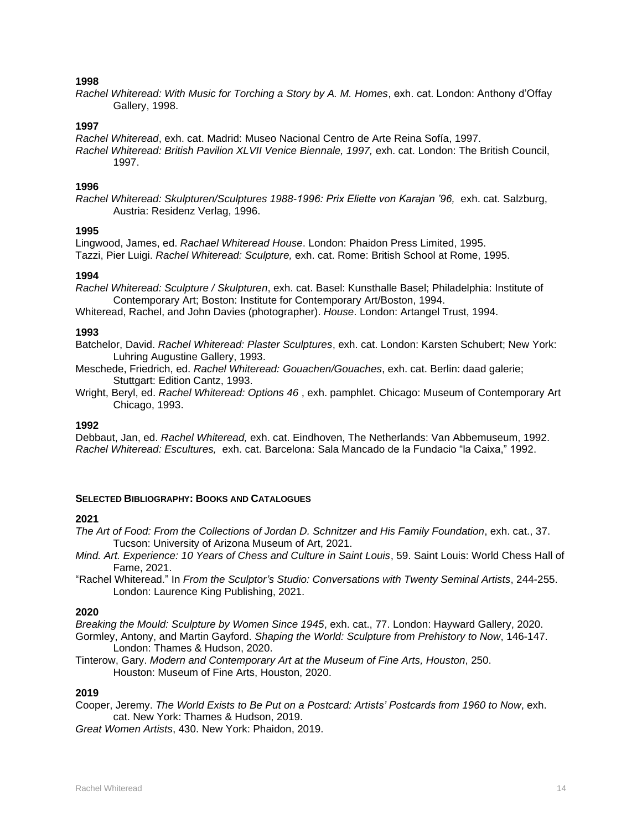*Rachel Whiteread: With Music for Torching a Story by A. M. Homes*, exh. cat. London: Anthony d'Offay Gallery, 1998.

### **1997**

*Rachel Whiteread*, exh. cat. Madrid: Museo Nacional Centro de Arte Reina Sofía, 1997. *Rachel Whiteread: British Pavilion XLVII Venice Biennale, 1997,* exh. cat. London: The British Council, 1997.

### **1996**

*Rachel Whiteread: Skulpturen/Sculptures 1988-1996: Prix Eliette von Karajan '96,* exh. cat. Salzburg, Austria: Residenz Verlag, 1996.

### **1995**

Lingwood, James, ed. *Rachael Whiteread House*. London: Phaidon Press Limited, 1995. Tazzi, Pier Luigi. *Rachel Whiteread: Sculpture,* exh. cat. Rome: British School at Rome, 1995.

### **1994**

*Rachel Whiteread: Sculpture / Skulpturen*, exh. cat. Basel: Kunsthalle Basel; Philadelphia: Institute of Contemporary Art; Boston: Institute for Contemporary Art/Boston, 1994.

Whiteread, Rachel, and John Davies (photographer). *House*. London: Artangel Trust, 1994.

### **1993**

Batchelor, David. *Rachel Whiteread: Plaster Sculptures*, exh. cat. London: Karsten Schubert; New York: Luhring Augustine Gallery, 1993.

Meschede, Friedrich, ed. *Rachel Whiteread: Gouachen/Gouaches*, exh. cat. Berlin: daad galerie; Stuttgart: Edition Cantz, 1993.

Wright, Beryl, ed. *Rachel Whiteread: Options 46* , exh. pamphlet. Chicago: Museum of Contemporary Art Chicago, 1993.

### **1992**

Debbaut, Jan, ed. *Rachel Whiteread,* exh. cat. Eindhoven, The Netherlands: Van Abbemuseum, 1992. *Rachel Whiteread: Escultures,* exh. cat. Barcelona: Sala Mancado de la Fundacio "la Caixa," 1992.

#### **SELECTED BIBLIOGRAPHY: BOOKS AND CATALOGUES**

#### **2021**

*The Art of Food: From the Collections of Jordan D. Schnitzer and His Family Foundation*, exh. cat., 37. Tucson: University of Arizona Museum of Art, 2021.

- *Mind. Art. Experience: 10 Years of Chess and Culture in Saint Louis*, 59. Saint Louis: World Chess Hall of Fame, 2021.
- "Rachel Whiteread." In *From the Sculptor's Studio: Conversations with Twenty Seminal Artists*, 244-255. London: Laurence King Publishing, 2021.

### **2020**

*Breaking the Mould: Sculpture by Women Since 1945*, exh. cat., 77. London: Hayward Gallery, 2020. Gormley, Antony, and Martin Gayford. *Shaping the World: Sculpture from Prehistory to Now*, 146-147. London: Thames & Hudson, 2020.

Tinterow, Gary. *Modern and Contemporary Art at the Museum of Fine Arts, Houston*, 250. Houston: Museum of Fine Arts, Houston, 2020.

### **2019**

Cooper, Jeremy. *The World Exists to Be Put on a Postcard: Artists' Postcards from 1960 to Now*, exh. cat. New York: Thames & Hudson, 2019.

*Great Women Artists*, 430. New York: Phaidon, 2019.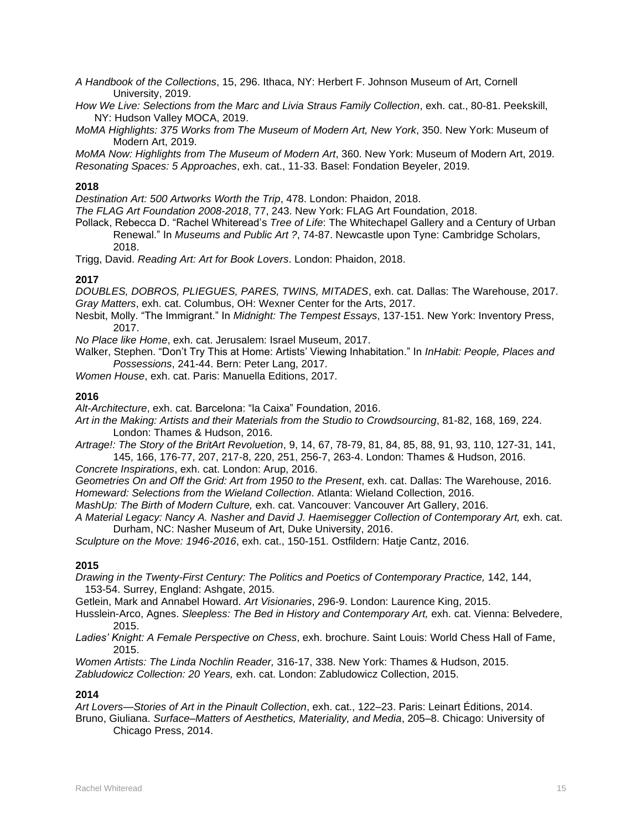*A Handbook of the Collections*, 15, 296. Ithaca, NY: Herbert F. Johnson Museum of Art, Cornell University, 2019.

*How We Live: Selections from the Marc and Livia Straus Family Collection*, exh. cat., 80-81. Peekskill, NY: Hudson Valley MOCA, 2019.

*MoMA Highlights: 375 Works from The Museum of Modern Art, New York*, 350. New York: Museum of Modern Art, 2019.

*MoMA Now: Highlights from The Museum of Modern Art*, 360. New York: Museum of Modern Art, 2019. *Resonating Spaces: 5 Approaches*, exh. cat., 11-33. Basel: Fondation Beyeler, 2019.

### **2018**

*Destination Art: 500 Artworks Worth the Trip*, 478. London: Phaidon, 2018.

*The FLAG Art Foundation 2008-2018*, 77, 243. New York: FLAG Art Foundation, 2018.

Pollack, Rebecca D. "Rachel Whiteread's *Tree of Life*: The Whitechapel Gallery and a Century of Urban Renewal." In *Museums and Public Art ?*, 74-87. Newcastle upon Tyne: Cambridge Scholars, 2018.

Trigg, David. *Reading Art: Art for Book Lovers*. London: Phaidon, 2018.

### **2017**

*DOUBLES, DOBROS, PLIEGUES, PARES, TWINS, MITADES*, exh. cat. Dallas: The Warehouse, 2017. *Gray Matters*, exh. cat. Columbus, OH: Wexner Center for the Arts, 2017.

Nesbit, Molly. "The Immigrant." In *Midnight: The Tempest Essays*, 137-151. New York: Inventory Press, 2017.

*No Place like Home*, exh. cat. Jerusalem: Israel Museum, 2017.

Walker, Stephen. "Don't Try This at Home: Artists' Viewing Inhabitation." In *InHabit: People, Places and Possessions*, 241-44. Bern: Peter Lang, 2017.

*Women House*, exh. cat. Paris: Manuella Editions, 2017.

### **2016**

*Alt-Architecture*, exh. cat. Barcelona: "la Caixa" Foundation, 2016.

*Art in the Making: Artists and their Materials from the Studio to Crowdsourcing*, 81-82, 168, 169, 224. London: Thames & Hudson, 2016.

*Artrage!: The Story of the BritArt Revoluetion*, 9, 14, 67, 78-79, 81, 84, 85, 88, 91, 93, 110, 127-31, 141, 145, 166, 176-77, 207, 217-8, 220, 251, 256-7, 263-4. London: Thames & Hudson, 2016.

*Concrete Inspirations*, exh. cat. London: Arup, 2016.

*Geometries On and Off the Grid: Art from 1950 to the Present*, exh. cat. Dallas: The Warehouse, 2016. *Homeward: Selections from the Wieland Collection*. Atlanta: Wieland Collection, 2016.

*MashUp: The Birth of Modern Culture,* exh. cat. Vancouver: Vancouver Art Gallery, 2016.

A Material Legacy: Nancy A. Nasher and David J. Haemisegger Collection of Contemporary Art, exh. cat. Durham, NC: Nasher Museum of Art, Duke University, 2016.

*Sculpture on the Move: 1946-2016*, exh. cat., 150-151. Ostfildern: Hatje Cantz, 2016.

### **2015**

*Drawing in the Twenty-First Century: The Politics and Poetics of Contemporary Practice,* 142, 144, 153-54. Surrey, England: Ashgate, 2015.

Getlein, Mark and Annabel Howard. *Art Visionaries*, 296-9. London: Laurence King, 2015.

Husslein-Arco, Agnes. *Sleepless: The Bed in History and Contemporary Art,* exh. cat. Vienna: Belvedere, 2015.

*Ladies' Knight: A Female Perspective on Chess*, exh. brochure. Saint Louis: World Chess Hall of Fame, 2015.

*Women Artists: The Linda Nochlin Reader,* 316-17, 338. New York: Thames & Hudson, 2015. *Zabludowicz Collection: 20 Years,* exh. cat. London: Zabludowicz Collection, 2015.

#### **2014**

*Art Lovers—Stories of Art in the Pinault Collection*, exh. cat., 122–23. Paris: Leinart Éditions, 2014. Bruno, Giuliana. *Surface–Matters of Aesthetics, Materiality, and Media*, 205–8. Chicago: University of Chicago Press, 2014.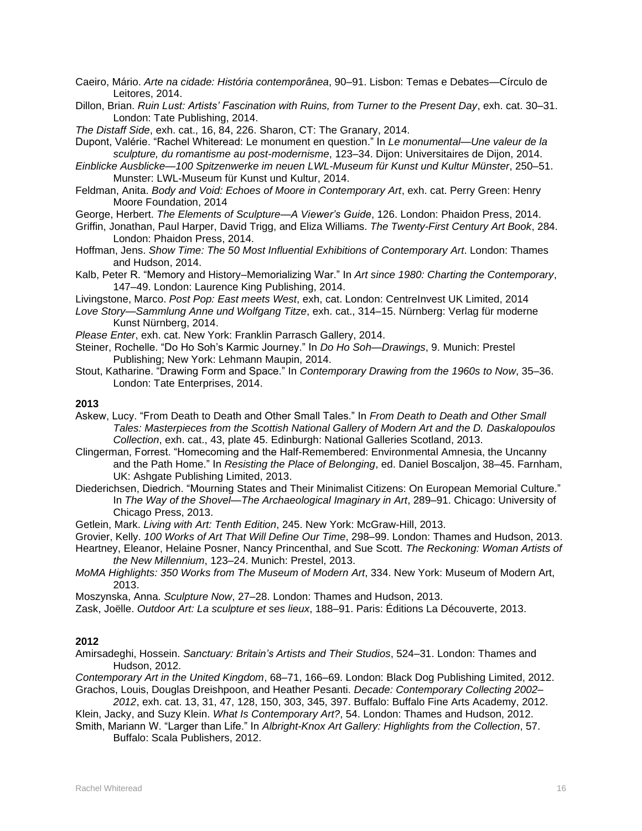- Caeiro, Mário. *Arte na cidade: História contemporânea*, 90–91. Lisbon: Temas e Debates—Círculo de Leitores, 2014.
- Dillon, Brian. *Ruin Lust: Artists' Fascination with Ruins, from Turner to the Present Day*, exh. cat. 30–31. London: Tate Publishing, 2014.

*The Distaff Side*, exh. cat., 16, 84, 226. Sharon, CT: The Granary, 2014.

Dupont, Valérie. "Rachel Whiteread: Le monument en question." In *Le monumental—Une valeur de la sculpture, du romantisme au post-modernisme*, 123–34. Dijon: Universitaires de Dijon, 2014.

*Einblicke Ausblicke—100 Spitzenwerke im neuen LWL-Museum für Kunst und Kultur Münster*, 250–51. Munster: LWL-Museum für Kunst und Kultur, 2014.

- Feldman, Anita. *Body and Void: Echoes of Moore in Contemporary Art*, exh. cat. Perry Green: Henry Moore Foundation, 2014
- George, Herbert. *The Elements of Sculpture—A Viewer's Guide*, 126. London: Phaidon Press, 2014.
- Griffin, Jonathan, Paul Harper, David Trigg, and Eliza Williams. *The Twenty-First Century Art Book*, 284. London: Phaidon Press, 2014.
- Hoffman, Jens. *Show Time: The 50 Most Influential Exhibitions of Contemporary Art*. London: Thames and Hudson, 2014.
- Kalb, Peter R. "Memory and History–Memorializing War." In *Art since 1980: Charting the Contemporary*, 147–49. London: Laurence King Publishing, 2014.
- Livingstone, Marco. *Post Pop: East meets West*, exh, cat. London: CentreInvest UK Limited, 2014
- *Love Story—Sammlung Anne und Wolfgang Titze*, exh. cat., 314–15. Nürnberg: Verlag für moderne Kunst Nürnberg, 2014.
- *Please Enter*, exh. cat. New York: Franklin Parrasch Gallery, 2014.
- Steiner, Rochelle. "Do Ho Soh's Karmic Journey." In *Do Ho Soh—Drawings*, 9. Munich: Prestel Publishing; New York: Lehmann Maupin, 2014.
- Stout, Katharine. "Drawing Form and Space." In *Contemporary Drawing from the 1960s to Now*, 35–36. London: Tate Enterprises, 2014.

### **2013**

- Askew, Lucy. "From Death to Death and Other Small Tales." In *From Death to Death and Other Small Tales: Masterpieces from the Scottish National Gallery of Modern Art and the D. Daskalopoulos Collection*, exh. cat., 43, plate 45. Edinburgh: National Galleries Scotland, 2013.
- Clingerman, Forrest. "Homecoming and the Half-Remembered: Environmental Amnesia, the Uncanny and the Path Home." In *Resisting the Place of Belonging*, ed. Daniel Boscaljon, 38–45. Farnham, UK: Ashgate Publishing Limited, 2013.
- Diederichsen, Diedrich. "Mourning States and Their Minimalist Citizens: On European Memorial Culture." In *The Way of the Shovel—The Archaeological Imaginary in Art*, 289–91. Chicago: University of Chicago Press, 2013.
- Getlein, Mark. *Living with Art: Tenth Edition*, 245. New York: McGraw-Hill, 2013.

Grovier, Kelly. *100 Works of Art That Will Define Our Time*, 298–99. London: Thames and Hudson, 2013.

- Heartney, Eleanor, Helaine Posner, Nancy Princenthal, and Sue Scott. *The Reckoning: Woman Artists of the New Millennium*, 123–24. Munich: Prestel, 2013.
- *MoMA Highlights: 350 Works from The Museum of Modern Art*, 334. New York: Museum of Modern Art, 2013.

Moszynska, Anna. *Sculpture Now*, 27–28. London: Thames and Hudson, 2013.

Zask, Joëlle. *Outdoor Art: La sculpture et ses lieux*, 188–91. Paris: Éditions La Découverte, 2013.

#### **2012**

Amirsadeghi, Hossein. *Sanctuary: Britain's Artists and Their Studios*, 524–31. London: Thames and Hudson, 2012.

*Contemporary Art in the United Kingdom*, 68–71, 166–69. London: Black Dog Publishing Limited, 2012. Grachos, Louis, Douglas Dreishpoon, and Heather Pesanti. *Decade: Contemporary Collecting 2002–*

*2012*, exh. cat. 13, 31, 47, 128, 150, 303, 345, 397. Buffalo: Buffalo Fine Arts Academy, 2012. Klein, Jacky, and Suzy Klein. *What Is Contemporary Art?*, 54. London: Thames and Hudson, 2012.

Smith, Mariann W. "Larger than Life." In *Albright-Knox Art Gallery: Highlights from the Collection*, 57. Buffalo: Scala Publishers, 2012.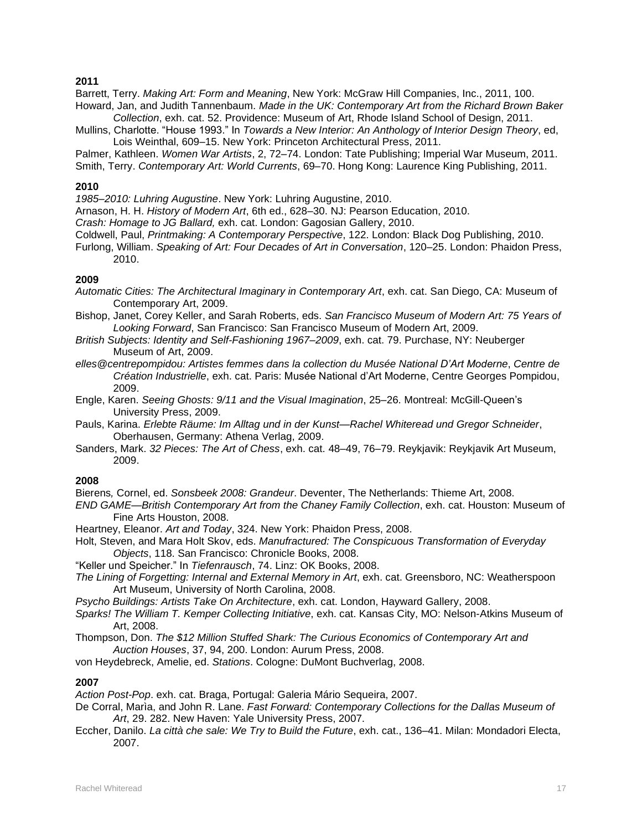Barrett, Terry. *Making Art: Form and Meaning*, New York: McGraw Hill Companies, Inc., 2011, 100.

- Howard, Jan, and Judith Tannenbaum. *Made in the UK: Contemporary Art from the Richard Brown Baker Collection*, exh. cat. 52. Providence: Museum of Art, Rhode Island School of Design, 2011.
- Mullins, Charlotte. "House 1993." In *Towards a New Interior: An Anthology of Interior Design Theory*, ed, Lois Weinthal, 609–15. New York: Princeton Architectural Press, 2011.

Palmer, Kathleen. *Women War Artists*, 2, 72–74. London: Tate Publishing; Imperial War Museum, 2011. Smith, Terry. *Contemporary Art: World Currents*, 69–70. Hong Kong: Laurence King Publishing, 2011.

### **2010**

*1985–2010: Luhring Augustine*. New York: Luhring Augustine, 2010.

- Arnason, H. H. *History of Modern Art*, 6th ed., 628–30. NJ: Pearson Education, 2010.
- *Crash: Homage to JG Ballard,* exh. cat. London: Gagosian Gallery, 2010.
- Coldwell, Paul, *Printmaking: A Contemporary Perspective*, 122. London: Black Dog Publishing, 2010.
- Furlong, William. *Speaking of Art: Four Decades of Art in Conversation*, 120–25. London: Phaidon Press, 2010.

### **2009**

- *Automatic Cities: The Architectural Imaginary in Contemporary Art*, exh. cat. San Diego, CA: Museum of Contemporary Art, 2009.
- Bishop, Janet, Corey Keller, and Sarah Roberts, eds. *San Francisco Museum of Modern Art: 75 Years of Looking Forward*, San Francisco: San Francisco Museum of Modern Art, 2009.
- *British Subjects: Identity and Self-Fashioning 1967–2009*, exh. cat. 79. Purchase, NY: Neuberger Museum of Art, 2009.
- *elles@centrepompidou: Artistes femmes dans la collection du Musée National D'Art Moderne*, *Centre de Création Industrielle*, exh. cat. Paris: Musée National d'Art Moderne, Centre Georges Pompidou, 2009.
- Engle, Karen. *Seeing Ghosts: 9/11 and the Visual Imagination*, 25–26. Montreal: McGill-Queen's University Press, 2009.
- Pauls, Karina. *Erlebte Räume: Im Alltag und in der Kunst—Rachel Whiteread und Gregor Schneider*, Oberhausen, Germany: Athena Verlag, 2009.
- Sanders, Mark. *32 Pieces: The Art of Chess*, exh. cat. 48–49, 76–79. Reykjavik: Reykjavik Art Museum, 2009.

### **2008**

Bierens*,* Cornel, ed. *Sonsbeek 2008: Grandeur*. Deventer, The Netherlands: Thieme Art, 2008.

*END GAME—British Contemporary Art from the Chaney Family Collection*, exh. cat. Houston: Museum of Fine Arts Houston, 2008.

Heartney, Eleanor. *Art and Today*, 324. New York: Phaidon Press, 2008.

- Holt, Steven, and Mara Holt Skov, eds. *Manufractured: The Conspicuous Transformation of Everyday Objects*, 118. San Francisco: Chronicle Books, 2008.
- "Keller und Speicher." In *Tiefenrausch*, 74. Linz: OK Books, 2008.
- *The Lining of Forgetting: Internal and External Memory in Art*, exh. cat. Greensboro, NC: Weatherspoon Art Museum, University of North Carolina, 2008.
- *Psycho Buildings: Artists Take On Architecture*, exh. cat. London, Hayward Gallery, 2008.
- *Sparks! The William T. Kemper Collecting Initiative*, exh. cat. Kansas City, MO: Nelson-Atkins Museum of Art, 2008.
- Thompson, Don. *The \$12 Million Stuffed Shark: The Curious Economics of Contemporary Art and Auction Houses*, 37, 94, 200. London: Aurum Press, 2008.
- von Heydebreck, Amelie, ed. *Stations*. Cologne: DuMont Buchverlag, 2008.

### **2007**

*Action Post-Pop*. exh. cat. Braga, Portugal: Galeria Mário Sequeira, 2007.

- De Corral, Marìa, and John R. Lane. *Fast Forward: Contemporary Collections for the Dallas Museum of Art*, 29. 282. New Haven: Yale University Press, 2007.
- Eccher, Danilo. *La città che sale: We Try to Build the Future*, exh. cat., 136–41. Milan: Mondadori Electa, 2007.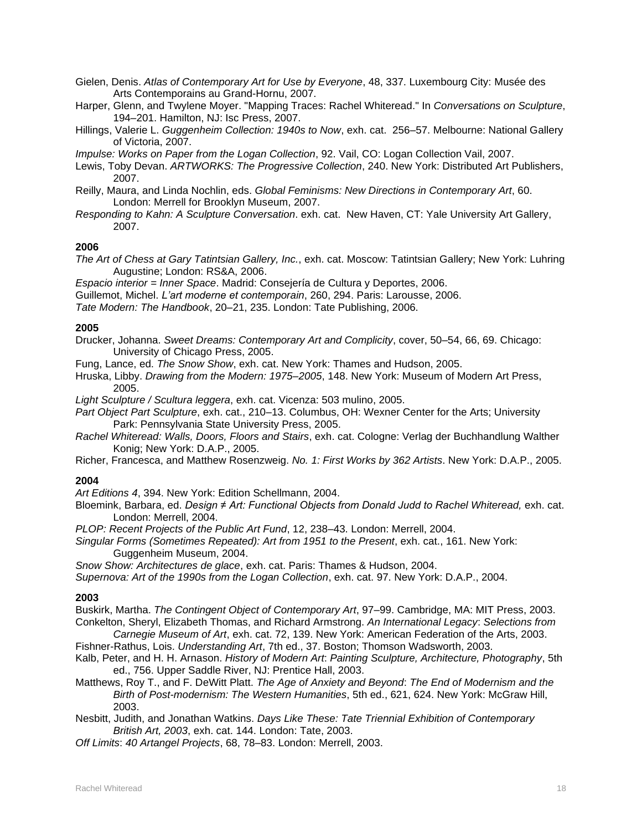Gielen, Denis. *Atlas of Contemporary Art for Use by Everyone*, 48, 337. Luxembourg City: Musée des Arts Contemporains au Grand-Hornu, 2007.

Harper, Glenn, and Twylene Moyer. "Mapping Traces: Rachel Whiteread." In *Conversations on Sculpture*, 194–201. Hamilton, NJ: Isc Press, 2007.

Hillings, Valerie L. *Guggenheim Collection: 1940s to Now*, exh. cat. 256–57. Melbourne: National Gallery of Victoria, 2007.

*Impulse: Works on Paper from the Logan Collection*, 92. Vail, CO: Logan Collection Vail, 2007.

- Lewis, Toby Devan. *ARTWORKS: The Progressive Collection*, 240. New York: Distributed Art Publishers, 2007.
- Reilly, Maura, and Linda Nochlin, eds. *Global Feminisms: New Directions in Contemporary Art*, 60. London: Merrell for Brooklyn Museum, 2007.
- *Responding to Kahn: A Sculpture Conversation*. exh. cat. New Haven, CT: Yale University Art Gallery, 2007.

### **2006**

*The Art of Chess at Gary Tatintsian Gallery, Inc.*, exh. cat. Moscow: Tatintsian Gallery; New York: Luhring Augustine; London: RS&A, 2006.

*Espacio interior = Inner Space*. Madrid: Consejería de Cultura y Deportes, 2006.

Guillemot, Michel. *L'art moderne et contemporain*, 260, 294. Paris: Larousse, 2006.

*Tate Modern: The Handbook*, 20–21, 235. London: Tate Publishing, 2006.

### **2005**

- Drucker, Johanna. *Sweet Dreams: Contemporary Art and Complicity*, cover, 50–54, 66, 69. Chicago: University of Chicago Press, 2005.
- Fung, Lance, ed. *The Snow Show*, exh. cat. New York: Thames and Hudson, 2005.

Hruska, Libby. *Drawing from the Modern: 1975–2005*, 148. New York: Museum of Modern Art Press, 2005.

*Light Sculpture / Scultura leggera*, exh. cat. Vicenza: 503 mulino, 2005.

*Part Object Part Sculpture*, exh. cat., 210–13. Columbus, OH: Wexner Center for the Arts; University Park: Pennsylvania State University Press, 2005.

*Rachel Whiteread: Walls, Doors, Floors and Stairs*, exh. cat. Cologne: Verlag der Buchhandlung Walther Konig; New York: D.A.P., 2005.

Richer, Francesca, and Matthew Rosenzweig. *No. 1: First Works by 362 Artists*. New York: D.A.P., 2005.

#### **2004**

*Art Editions 4*, 394. New York: Edition Schellmann, 2004.

Bloemink, Barbara, ed. *Design ≠ Art: Functional Objects from Donald Judd to Rachel Whiteread, exh. cat.* London: Merrell, 2004.

*PLOP: Recent Projects of the Public Art Fund*, 12, 238–43. London: Merrell, 2004.

*Singular Forms (Sometimes Repeated): Art from 1951 to the Present*, exh. cat., 161. New York: Guggenheim Museum, 2004.

*Snow Show: Architectures de glace*, exh. cat. Paris: Thames & Hudson, 2004.

*Supernova: Art of the 1990s from the Logan Collection*, exh. cat. 97. New York: D.A.P., 2004.

#### **2003**

Buskirk, Martha. *The Contingent Object of Contemporary Art*, 97–99. Cambridge, MA: MIT Press, 2003. Conkelton, Sheryl, Elizabeth Thomas, and Richard Armstrong. *An International Legacy*: *Selections from* 

*Carnegie Museum of Art*, exh. cat. 72, 139. New York: American Federation of the Arts, 2003. Fishner-Rathus, Lois. *Understanding Art*, 7th ed., 37. Boston; Thomson Wadsworth, 2003.

- Kalb, Peter, and H. H. Arnason. *History of Modern Art*: *Painting Sculpture, Architecture, Photography*, 5th ed., 756. Upper Saddle River, NJ: Prentice Hall, 2003.
- Matthews, Roy T., and F. DeWitt Platt. *The Age of Anxiety and Beyond*: *The End of Modernism and the Birth of Post-modernism: The Western Humanities*, 5th ed., 621, 624. New York: McGraw Hill, 2003.

Nesbitt, Judith, and Jonathan Watkins. *Days Like These: Tate Triennial Exhibition of Contemporary British Art, 2003*, exh. cat. 144. London: Tate, 2003.

*Off Limits*: *40 Artangel Projects*, 68, 78–83. London: Merrell, 2003.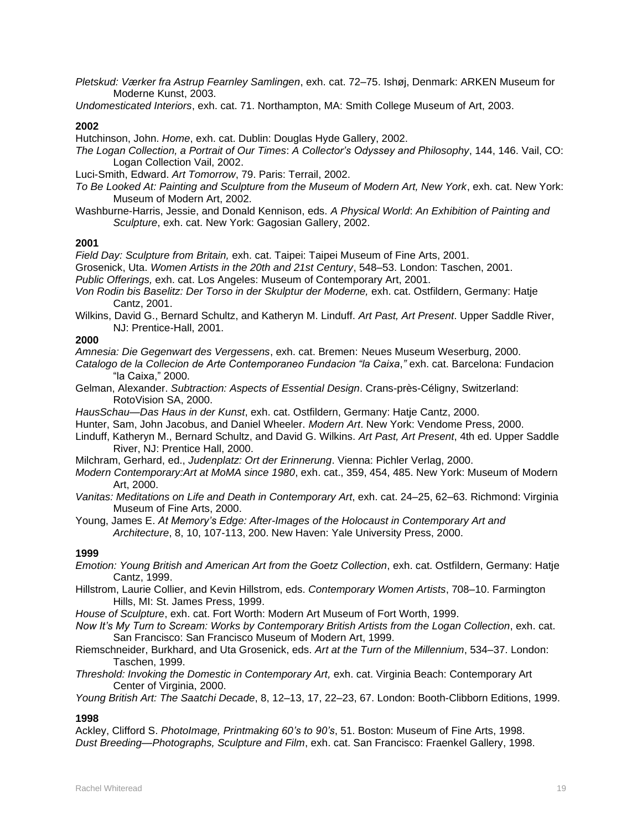*Pletskud: Værker fra Astrup Fearnley Samlingen*, exh. cat. 72–75. Ishøj, Denmark: ARKEN Museum for Moderne Kunst, 2003.

*Undomesticated Interiors*, exh. cat. 71. Northampton, MA: Smith College Museum of Art, 2003.

### **2002**

Hutchinson, John. *Home*, exh. cat. Dublin: Douglas Hyde Gallery, 2002.

*The Logan Collection, a Portrait of Our Times*: *A Collector's Odyssey and Philosophy*, 144, 146. Vail, CO: Logan Collection Vail, 2002.

Luci-Smith, Edward. *Art Tomorrow*, 79. Paris: Terrail, 2002.

- *To Be Looked At: Painting and Sculpture from the Museum of Modern Art, New York*, exh. cat. New York: Museum of Modern Art, 2002.
- Washburne-Harris, Jessie, and Donald Kennison, eds. *A Physical World*: *An Exhibition of Painting and Sculpture*, exh. cat. New York: Gagosian Gallery, 2002.

### **2001**

*Field Day: Sculpture from Britain,* exh. cat. Taipei: Taipei Museum of Fine Arts, 2001.

Grosenick, Uta. *Women Artists in the 20th and 21st Century*, 548–53. London: Taschen, 2001.

*Public Offerings,* exh. cat. Los Angeles: Museum of Contemporary Art, 2001.

- Von Rodin bis Baselitz: Der Torso in der Skulptur der Moderne, exh. cat. Ostfildern, Germany: Hatje Cantz, 2001.
- Wilkins, David G., Bernard Schultz, and Katheryn M. Linduff. *Art Past, Art Present*. Upper Saddle River, NJ: Prentice-Hall, 2001.

### **2000**

*Amnesia: Die Gegenwart des Vergessens*, exh. cat. Bremen: Neues Museum Weserburg, 2000.

- *Catalogo de la Collecion de Arte Contemporaneo Fundacion "la Caixa*,*"* exh. cat. Barcelona: Fundacion "la Caixa," 2000.
- Gelman, Alexander. *Subtraction: Aspects of Essential Design*. Crans-près-Céligny, Switzerland: RotoVision SA, 2000.

*HausSchau—Das Haus in der Kunst*, exh. cat. Ostfildern, Germany: Hatje Cantz, 2000.

Hunter, Sam, John Jacobus, and Daniel Wheeler. *Modern Art*. New York: Vendome Press, 2000.

- Linduff, Katheryn M., Bernard Schultz, and David G. Wilkins. *Art Past, Art Present*, 4th ed. Upper Saddle River, NJ: Prentice Hall, 2000.
- Milchram, Gerhard, ed., *Judenplatz: Ort der Erinnerung*. Vienna: Pichler Verlag, 2000.
- *Modern Contemporary:Art at MoMA since 1980*, exh. cat., 359, 454, 485. New York: Museum of Modern Art, 2000.
- *Vanitas: Meditations on Life and Death in Contemporary Art*, exh. cat. 24–25, 62–63. Richmond: Virginia Museum of Fine Arts, 2000.

Young, James E. *At Memory's Edge: After-Images of the Holocaust in Contemporary Art and Architecture*, 8, 10, 107-113, 200. New Haven: Yale University Press, 2000.

### **1999**

- *Emotion: Young British and American Art from the Goetz Collection*, exh. cat. Ostfildern, Germany: Hatje Cantz, 1999.
- Hillstrom, Laurie Collier, and Kevin Hillstrom, eds. *Contemporary Women Artists*, 708–10. Farmington Hills, MI: St. James Press, 1999.
- *House of Sculpture*, exh. cat. Fort Worth: Modern Art Museum of Fort Worth, 1999.
- *Now It's My Turn to Scream: Works by Contemporary British Artists from the Logan Collection*, exh. cat. San Francisco: San Francisco Museum of Modern Art, 1999.
- Riemschneider, Burkhard, and Uta Grosenick, eds. *Art at the Turn of the Millennium*, 534–37. London: Taschen, 1999.
- *Threshold: Invoking the Domestic in Contemporary Art,* exh. cat. Virginia Beach: Contemporary Art Center of Virginia, 2000.

*Young British Art: The Saatchi Decade*, 8, 12–13, 17, 22–23, 67. London: Booth-Clibborn Editions, 1999.

### **1998**

Ackley, Clifford S. *PhotoImage, Printmaking 60's to 90's*, 51. Boston: Museum of Fine Arts, 1998. *Dust Breeding—Photographs, Sculpture and Film*, exh. cat. San Francisco: Fraenkel Gallery, 1998.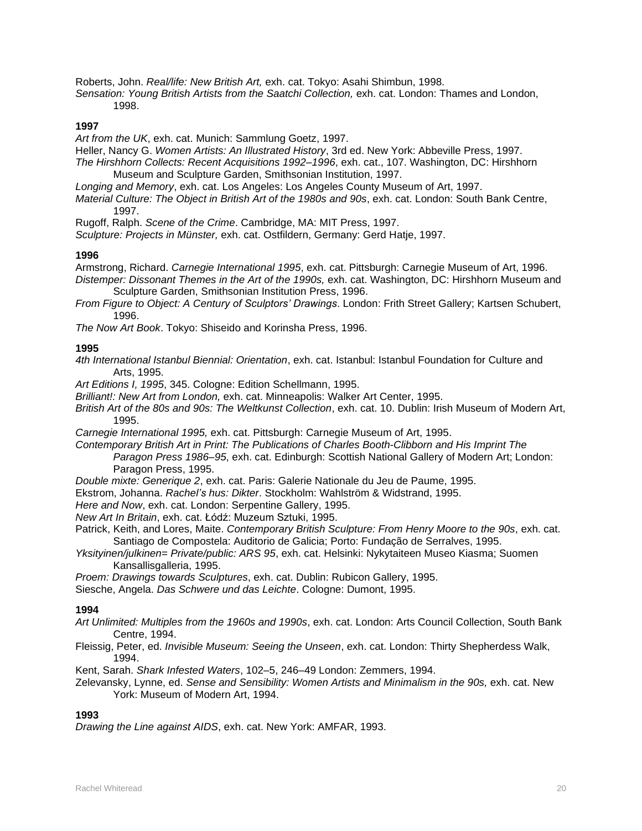Roberts, John. *Real/life: New British Art,* exh. cat. Tokyo: Asahi Shimbun, 1998.

*Sensation: Young British Artists from the Saatchi Collection,* exh. cat. London: Thames and London, 1998.

#### **1997**

*Art from the UK*, exh. cat. Munich: Sammlung Goetz, 1997.

Heller, Nancy G. *Women Artists: An Illustrated History*, 3rd ed. New York: Abbeville Press, 1997.

*The Hirshhorn Collects: Recent Acquisitions 1992–1996*, exh. cat., 107. Washington, DC: Hirshhorn Museum and Sculpture Garden, Smithsonian Institution, 1997.

*Longing and Memory*, exh. cat. Los Angeles: Los Angeles County Museum of Art, 1997.

*Material Culture: The Object in British Art of the 1980s and 90s*, exh. cat. London: South Bank Centre, 1997.

Rugoff, Ralph. *Scene of the Crime*. Cambridge, MA: MIT Press, 1997.

*Sculpture: Projects in Münster,* exh. cat. Ostfildern, Germany: Gerd Hatje, 1997.

### **1996**

Armstrong, Richard. *Carnegie International 1995*, exh. cat. Pittsburgh: Carnegie Museum of Art, 1996. *Distemper: Dissonant Themes in the Art of the 1990s,* exh. cat. Washington, DC: Hirshhorn Museum and

Sculpture Garden, Smithsonian Institution Press, 1996.

*From Figure to Object: A Century of Sculptors' Drawings*. London: Frith Street Gallery; Kartsen Schubert, 1996.

*The Now Art Book*. Tokyo: Shiseido and Korinsha Press, 1996.

### **1995**

*4th International Istanbul Biennial: Orientation*, exh. cat. Istanbul: Istanbul Foundation for Culture and Arts, 1995.

*Art Editions I, 1995*, 345. Cologne: Edition Schellmann, 1995.

*Brilliant!: New Art from London,* exh. cat. Minneapolis: Walker Art Center, 1995.

*British Art of the 80s and 90s: The Weltkunst Collection*, exh. cat. 10. Dublin: Irish Museum of Modern Art, 1995.

*Carnegie International 1995,* exh. cat. Pittsburgh: Carnegie Museum of Art, 1995.

*Contemporary British Art in Print: The Publications of Charles Booth-Clibborn and His Imprint The Paragon Press 1986–95*, exh. cat. Edinburgh: Scottish National Gallery of Modern Art; London: Paragon Press, 1995.

*Double mixte: Generique 2*, exh. cat. Paris: Galerie Nationale du Jeu de Paume, 1995.

Ekstrom, Johanna. *Rachel's hus: Dikter*. Stockholm: Wahlström & Widstrand, 1995.

*Here and Now*, exh. cat. London: Serpentine Gallery, 1995.

*New Art In Britain*, exh. cat. Łódź: Muzeum Sztuki, 1995.

Patrick, Keith, and Lores, Maite. *Contemporary British Sculpture: From Henry Moore to the 90s*, exh. cat. Santiago de Compostela: Auditorio de Galicia; Porto: Fundação de Serralves, 1995.

*Yksityinen/julkinen= Private/public: ARS 95*, exh. cat. Helsinki: Nykytaiteen Museo Kiasma; Suomen Kansallisgalleria, 1995.

*Proem: Drawings towards Sculptures*, exh. cat. Dublin: Rubicon Gallery, 1995.

Siesche, Angela. *Das Schwere und das Leichte*. Cologne: Dumont, 1995.

#### **1994**

*Art Unlimited: Multiples from the 1960s and 1990s*, exh. cat. London: Arts Council Collection, South Bank Centre, 1994.

Fleissig, Peter, ed. *Invisible Museum: Seeing the Unseen*, exh. cat. London: Thirty Shepherdess Walk, 1994.

Kent, Sarah. *Shark Infested Waters*, 102–5, 246–49 London: Zemmers, 1994.

Zelevansky, Lynne, ed. *Sense and Sensibility: Women Artists and Minimalism in the 90s, exh. cat. New* York: Museum of Modern Art, 1994.

### **1993**

*Drawing the Line against AIDS*, exh. cat. New York: AMFAR, 1993.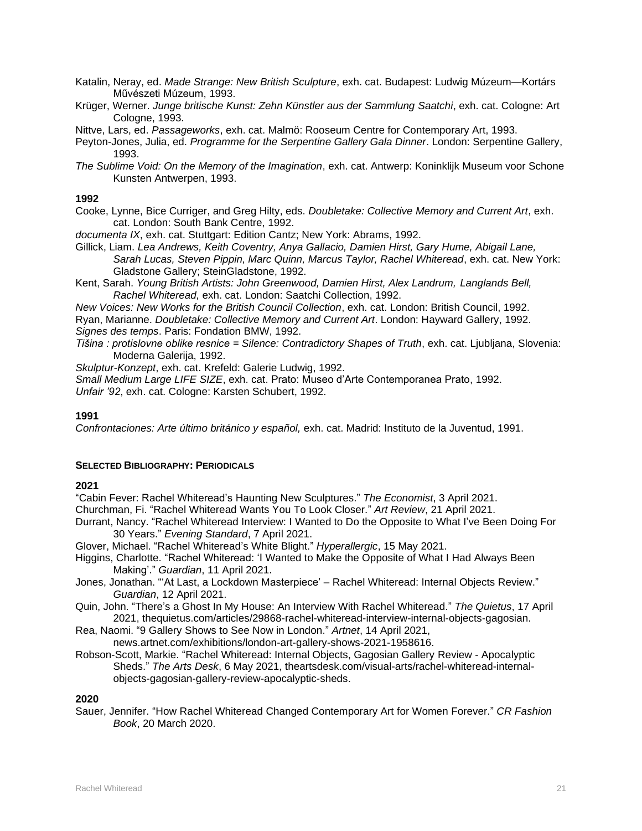- Katalin, Neray, ed. *Made Strange: New British Sculpture*, exh. cat. Budapest: Ludwig Múzeum—Kortárs Művészeti Múzeum, 1993.
- Krüger, Werner. *Junge britische Kunst: Zehn Künstler aus der Sammlung Saatchi*, exh. cat. Cologne: Art Cologne, 1993.
- Nittve, Lars, ed. *Passageworks*, exh. cat. Malmö: Rooseum Centre for Contemporary Art, 1993.
- Peyton-Jones, Julia, ed. *Programme for the Serpentine Gallery Gala Dinner*. London: Serpentine Gallery, 1993.
- *The Sublime Void: On the Memory of the Imagination*, exh. cat. Antwerp: Koninklijk Museum voor Schone Kunsten Antwerpen, 1993.

- Cooke, Lynne, Bice Curriger, and Greg Hilty, eds. *Doubletake: Collective Memory and Current Art*, exh. cat. London: South Bank Centre, 1992.
- *documenta IX*, exh. cat. Stuttgart: Edition Cantz; New York: Abrams, 1992.
- Gillick, Liam. *Lea Andrews, Keith Coventry, Anya Gallacio, Damien Hirst, Gary Hume, Abigail Lane, Sarah Lucas, Steven Pippin, Marc Quinn, Marcus Taylor, Rachel Whiteread*, exh. cat. New York: Gladstone Gallery; SteinGladstone, 1992.
- Kent, Sarah. *Young British Artists: John Greenwood, Damien Hirst, Alex Landrum, Langlands Bell, Rachel Whiteread,* exh. cat. London: Saatchi Collection, 1992.
- *New Voices: New Works for the British Council Collection*, exh. cat. London: British Council, 1992. Ryan, Marianne. *Doubletake: Collective Memory and Current Art*. London: Hayward Gallery, 1992. *Signes des temps*. Paris: Fondation BMW, 1992.
- *Tišina : protislovne oblike resnice = Silence: Contradictory Shapes of Truth*, exh. cat. Ljubljana, Slovenia: Moderna Galerija, 1992.

*Skulptur-Konzept*, exh. cat. Krefeld: Galerie Ludwig, 1992.

*Small Medium Large LIFE SIZE*, exh. cat. Prato: Museo d'Arte Contemporanea Prato, 1992. *Unfair '92*, exh. cat. Cologne: Karsten Schubert, 1992.

### **1991**

Confrontaciones: Arte último británico y español, exh. cat. Madrid: Instituto de la Juventud, 1991.

### **SELECTED BIBLIOGRAPHY: PERIODICALS**

### **2021**

"Cabin Fever: Rachel Whiteread's Haunting New Sculptures." *The Economist*, 3 April 2021.

Churchman, Fi. "Rachel Whiteread Wants You To Look Closer." *Art Review*, 21 April 2021.

- Durrant, Nancy. "Rachel Whiteread Interview: I Wanted to Do the Opposite to What I've Been Doing For 30 Years." *Evening Standard*, 7 April 2021.
- Glover, Michael. "Rachel Whiteread's White Blight." *Hyperallergic*, 15 May 2021.
- Higgins, Charlotte. "Rachel Whiteread: 'I Wanted to Make the Opposite of What I Had Always Been Making'." *Guardian*, 11 April 2021.
- Jones, Jonathan. "'At Last, a Lockdown Masterpiece' Rachel Whiteread: Internal Objects Review." *Guardian*, 12 April 2021.
- Quin, John. "There's a Ghost In My House: An Interview With Rachel Whiteread." *The Quietus*, 17 April 2021, thequietus.com/articles/29868-rachel-whiteread-interview-internal-objects-gagosian.
- Rea, Naomi. "9 Gallery Shows to See Now in London." *Artnet*, 14 April 2021, news.artnet.com/exhibitions/london-art-gallery-shows-2021-1958616.
- Robson-Scott, Markie. "Rachel Whiteread: Internal Objects, Gagosian Gallery Review Apocalyptic Sheds." *The Arts Desk*, 6 May 2021, theartsdesk.com/visual-arts/rachel-whiteread-internalobjects-gagosian-gallery-review-apocalyptic-sheds.

### **2020**

Sauer, Jennifer. "How Rachel Whiteread Changed Contemporary Art for Women Forever." *CR Fashion Book*, 20 March 2020.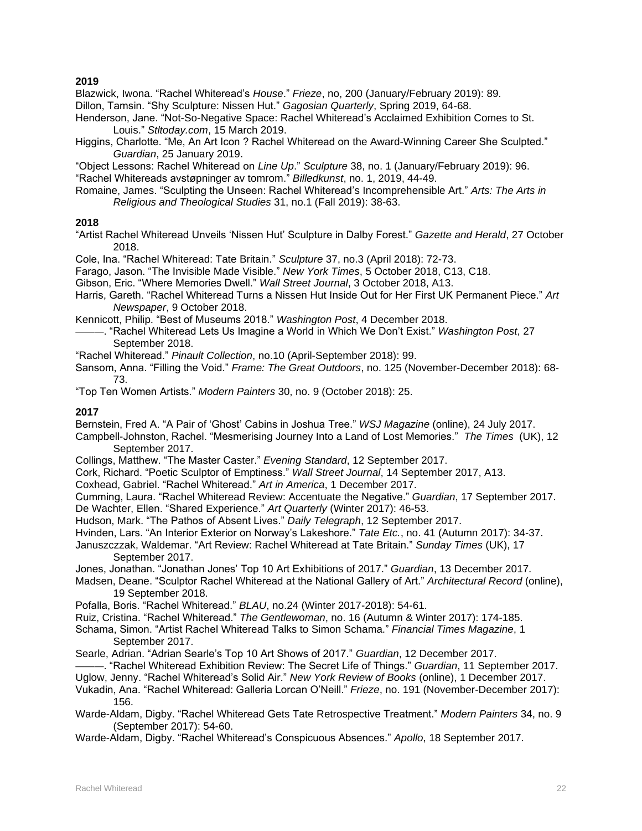Blazwick, Iwona. "Rachel Whiteread's *House*." *Frieze*, no, 200 (January/February 2019): 89.

Dillon, Tamsin. "Shy Sculpture: Nissen Hut." *Gagosian Quarterly*, Spring 2019, 64-68.

- Henderson, Jane. "Not-So-Negative Space: Rachel Whiteread's Acclaimed Exhibition Comes to St. Louis." *Stltoday.com*, 15 March 2019.
- Higgins, Charlotte. "Me, An Art Icon ? Rachel Whiteread on the Award-Winning Career She Sculpted." *Guardian*, 25 January 2019.

"Object Lessons: Rachel Whiteread on *Line Up*." *Sculpture* 38, no. 1 (January/February 2019): 96. "Rachel Whitereads avstøpninger av tomrom." *Billedkunst*, no. 1, 2019, 44-49.

Romaine, James. "Sculpting the Unseen: Rachel Whiteread's Incomprehensible Art." *Arts: The Arts in Religious and Theological Studies* 31, no.1 (Fall 2019): 38-63.

### **2018**

"Artist Rachel Whiteread Unveils 'Nissen Hut' Sculpture in Dalby Forest." *Gazette and Herald*, 27 October 2018.

Cole, Ina. "Rachel Whiteread: Tate Britain." *Sculpture* 37, no.3 (April 2018): 72-73.

Farago, Jason. "The Invisible Made Visible." *New York Times*, 5 October 2018, C13, C18.

Gibson, Eric. "Where Memories Dwell." *Wall Street Journal*, 3 October 2018, A13.

Harris, Gareth. "Rachel Whiteread Turns a Nissen Hut Inside Out for Her First UK Permanent Piece." *Art Newspaper*, 9 October 2018.

Kennicott, Philip. "Best of Museums 2018." *Washington Post*, 4 December 2018.

- ———. "Rachel Whiteread Lets Us Imagine a World in Which We Don't Exist." *Washington Post*, 27 September 2018.
- "Rachel Whiteread." *Pinault Collection*, no.10 (April-September 2018): 99.
- Sansom, Anna. "Filling the Void." *Frame: The Great Outdoors*, no. 125 (November-December 2018): 68- 73.

"Top Ten Women Artists." *Modern Painters* 30, no. 9 (October 2018): 25.

### **2017**

Bernstein, Fred A. "A Pair of 'Ghost' Cabins in Joshua Tree." *WSJ Magazine* (online), 24 July 2017.

Campbell-Johnston, Rachel. "Mesmerising Journey Into a Land of Lost Memories." *The Times* (UK), 12 September 2017.

- Collings, Matthew. "The Master Caster." *Evening Standard*, 12 September 2017.
- Cork, Richard. "Poetic Sculptor of Emptiness." *Wall Street Journal*, 14 September 2017, A13.
- Coxhead, Gabriel. "Rachel Whiteread." *Art in America*, 1 December 2017.

Cumming, Laura. "Rachel Whiteread Review: Accentuate the Negative." *Guardian*, 17 September 2017. De Wachter, Ellen. "Shared Experience." *Art Quarterly* (Winter 2017): 46-53.

Hudson, Mark. "The Pathos of Absent Lives." *Daily Telegraph*, 12 September 2017.

Hvinden, Lars. "An Interior Exterior on Norway's Lakeshore." *Tate Etc.*, no. 41 (Autumn 2017): 34-37.

Januszczzak, Waldemar. "Art Review: Rachel Whiteread at Tate Britain." *Sunday Times* (UK), 17 September 2017.

Jones, Jonathan. "Jonathan Jones' Top 10 Art Exhibitions of 2017." *Guardian*, 13 December 2017.

Madsen, Deane. "Sculptor Rachel Whiteread at the National Gallery of Art." *Architectural Record* (online), 19 September 2018.

Pofalla, Boris. "Rachel Whiteread." *BLAU*, no.24 (Winter 2017-2018): 54-61.

Ruiz, Cristina. "Rachel Whiteread." *The Gentlewoman*, no. 16 (Autumn & Winter 2017): 174-185.

Schama, Simon. "Artist Rachel Whiteread Talks to Simon Schama." *Financial Times Magazine*, 1 September 2017.

Searle, Adrian. "Adrian Searle's Top 10 Art Shows of 2017." *Guardian*, 12 December 2017.

———. "Rachel Whiteread Exhibition Review: The Secret Life of Things." *Guardian*, 11 September 2017.

Uglow, Jenny. "Rachel Whiteread's Solid Air." *New York Review of Books* (online), 1 December 2017.

Vukadin, Ana. "Rachel Whiteread: Galleria Lorcan O'Neill." *Frieze*, no. 191 (November-December 2017): 156.

Warde-Aldam, Digby. "Rachel Whiteread Gets Tate Retrospective Treatment." *Modern Painters* 34, no. 9 (September 2017): 54-60.

Warde-Aldam, Digby. "Rachel Whiteread's Conspicuous Absences." *Apollo*, 18 September 2017.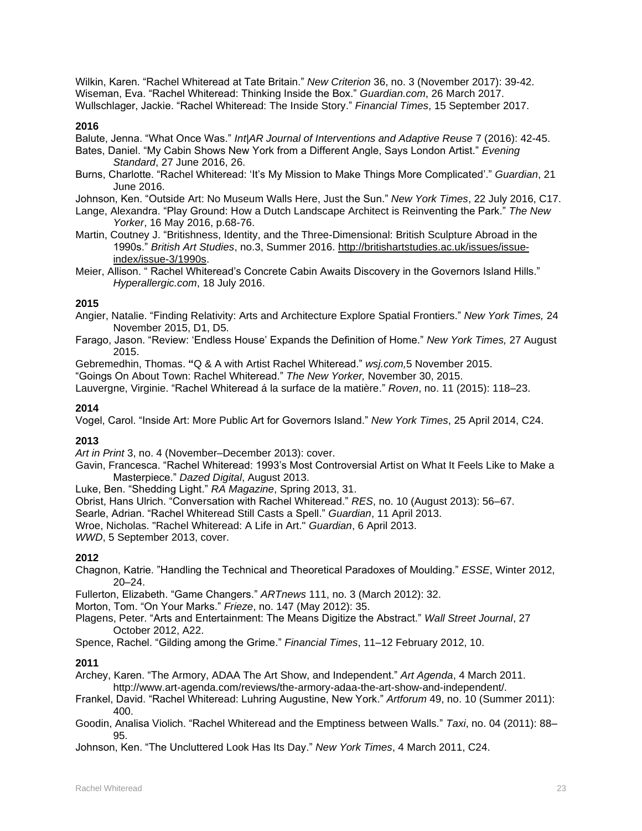Wilkin, Karen. "Rachel Whiteread at Tate Britain." *New Criterion* 36, no. 3 (November 2017): 39-42. Wiseman, Eva. "Rachel Whiteread: Thinking Inside the Box." *Guardian.com*, 26 March 2017. Wullschlager, Jackie. "Rachel Whiteread: The Inside Story." *Financial Times*, 15 September 2017.

### **2016**

Balute, Jenna. "What Once Was." *Int|AR Journal of Interventions and Adaptive Reuse* 7 (2016): 42-45.

- Bates, Daniel. "My Cabin Shows New York from a Different Angle, Says London Artist." *Evening Standard*, 27 June 2016, 26.
- Burns, Charlotte. "Rachel Whiteread: 'It's My Mission to Make Things More Complicated'." *Guardian*, 21 June 2016.
- Johnson, Ken. "Outside Art: No Museum Walls Here, Just the Sun." *New York Times*, 22 July 2016, C17.
- Lange, Alexandra. "Play Ground: How a Dutch Landscape Architect is Reinventing the Park." *The New Yorker*, 16 May 2016, p.68-76.
- Martin, Coutney J. "Britishness, Identity, and the Three-Dimensional: British Sculpture Abroad in the 1990s." *British Art Studies*, no.3, Summer 2016. [http://britishartstudies.ac.uk/issues/issue](http://britishartstudies.ac.uk/issues/issue-index/issue-3/1990s)[index/issue-3/1990s.](http://britishartstudies.ac.uk/issues/issue-index/issue-3/1990s)
- Meier, Allison. " Rachel Whiteread's Concrete Cabin Awaits Discovery in the Governors Island Hills." *Hyperallergic.com*, 18 July 2016.

### **2015**

Angier, Natalie. "Finding Relativity: Arts and Architecture Explore Spatial Frontiers." *New York Times,* 24 November 2015, D1, D5.

Farago, Jason. "Review: 'Endless House' Expands the Definition of Home." *New York Times,* 27 August 2015.

Gebremedhin, Thomas. **"**Q & A with Artist Rachel Whiteread." *wsj.com,*5 November 2015.

"Goings On About Town: Rachel Whiteread." *The New Yorker,* November 30, 2015.

Lauvergne, Virginie. "Rachel Whiteread á la surface de la matière." *Roven*, no. 11 (2015): 118–23.

### **2014**

Vogel, Carol. "Inside Art: More Public Art for Governors Island." *New York Times*, 25 April 2014, C24.

### **2013**

*Art in Print* 3, no. 4 (November–December 2013): cover.

Gavin, Francesca. "Rachel Whiteread: 1993's Most Controversial Artist on What It Feels Like to Make a Masterpiece." *Dazed Digital*, August 2013.

Luke, Ben. "Shedding Light." *RA Magazine*, Spring 2013, 31.

Obrist, Hans Ulrich. "Conversation with Rachel Whiteread." *RES*, no. 10 (August 2013): 56–67.

Searle, Adrian. "Rachel Whiteread Still Casts a Spell." *Guardian*, 11 April 2013.

Wroe, Nicholas. "Rachel Whiteread: A Life in Art." *Guardian*, 6 April 2013.

*WWD*, 5 September 2013, cover.

### **2012**

Chagnon, Katrie. "Handling the Technical and Theoretical Paradoxes of Moulding." *ESSE*, Winter 2012, 20–24.

Fullerton, Elizabeth. "Game Changers." *ARTnews* 111, no. 3 (March 2012): 32.

Morton, Tom. "On Your Marks." *Frieze*, no. 147 (May 2012): 35.

Plagens, Peter. "Arts and Entertainment: The Means Digitize the Abstract." *Wall Street Journal*, 27 October 2012, A22.

Spence, Rachel. "Gilding among the Grime." *Financial Times*, 11–12 February 2012, 10.

### **2011**

Archey, Karen. "The Armory, ADAA The Art Show, and Independent." *Art Agenda*, 4 March 2011. http://www.art-agenda.com/reviews/the-armory-adaa-the-art-show-and-independent/.

Frankel, David. "Rachel Whiteread: Luhring Augustine, New York." *Artforum* 49, no. 10 (Summer 2011): 400.

Goodin, Analisa Violich. "Rachel Whiteread and the Emptiness between Walls." *Taxi*, no. 04 (2011): 88– 95.

Johnson, Ken. "The Uncluttered Look Has Its Day." *New York Times*, 4 March 2011, C24.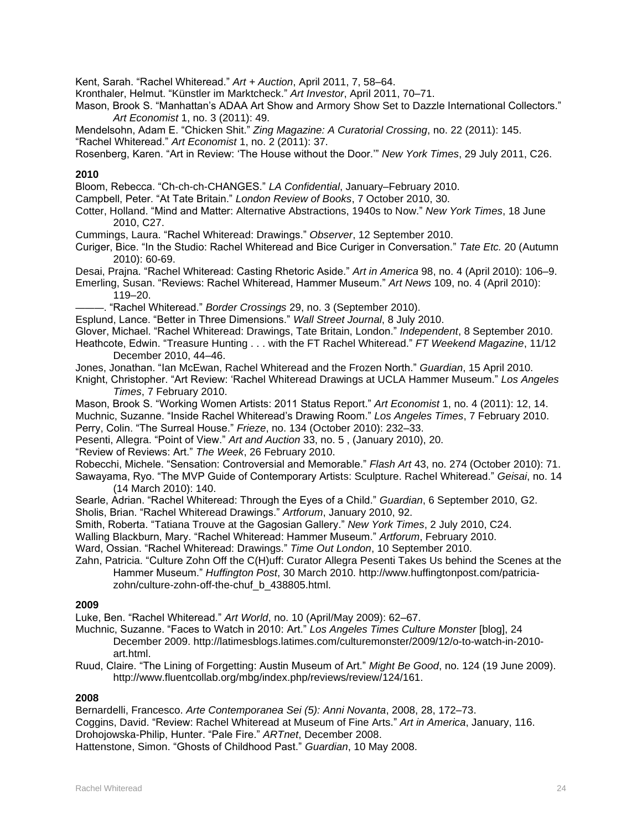Kent, Sarah. "Rachel Whiteread." *Art + Auction*, April 2011, 7, 58–64.

Kronthaler, Helmut. "Künstler im Marktcheck." *Art Investor*, April 2011, 70–71.

Mason, Brook S. "Manhattan's ADAA Art Show and Armory Show Set to Dazzle International Collectors." *Art Economist* 1, no. 3 (2011): 49.

Mendelsohn, Adam E. "Chicken Shit." *Zing Magazine: A Curatorial Crossing*, no. 22 (2011): 145.

"Rachel Whiteread." *Art Economist* 1, no. 2 (2011): 37.

Rosenberg, Karen. "Art in Review: 'The House without the Door.'" *New York Times*, 29 July 2011, C26.

### **2010**

Bloom, Rebecca. "Ch-ch-ch-CHANGES." *LA Confidential*, January–February 2010.

Campbell, Peter. "At Tate Britain." *London Review of Books*, 7 October 2010, 30.

Cotter, Holland. "Mind and Matter: Alternative Abstractions, 1940s to Now." *New York Times*, 18 June 2010, C27.

Cummings, Laura. "Rachel Whiteread: Drawings." *Observer*, 12 September 2010.

Curiger, Bice. "In the Studio: Rachel Whiteread and Bice Curiger in Conversation." *Tate Etc.* 20 (Autumn 2010): 60-69.

Desai, Prajna. "Rachel Whiteread: Casting Rhetoric Aside." *Art in America* 98, no. 4 (April 2010): 106–9.

Emerling, Susan. "Reviews: Rachel Whiteread, Hammer Museum." *Art News* 109, no. 4 (April 2010): 119–20.

———. "Rachel Whiteread." *Border Crossings* 29, no. 3 (September 2010).

Esplund, Lance. "Better in Three Dimensions." *Wall Street Journal*, 8 July 2010.

Glover, Michael. "Rachel Whiteread: Drawings, Tate Britain, London." *Independent*, 8 September 2010.

Heathcote, Edwin. "Treasure Hunting . . . with the FT Rachel Whiteread." *FT Weekend Magazine*, 11/12 December 2010, 44–46.

Jones, Jonathan. "Ian McEwan, Rachel Whiteread and the Frozen North." *Guardian*, 15 April 2010.

Knight, Christopher. "Art Review: 'Rachel Whiteread Drawings at UCLA Hammer Museum." *Los Angeles Times*, 7 February 2010.

Mason, Brook S. "Working Women Artists: 2011 Status Report." *Art Economist* 1, no. 4 (2011): 12, 14. Muchnic, Suzanne. "Inside Rachel Whiteread's Drawing Room." *Los Angeles Times*, 7 February 2010. Perry, Colin. "The Surreal House." *Frieze*, no. 134 (October 2010): 232–33.

Pesenti, Allegra. "Point of View." *Art and Auction* 33, no. 5 , (January 2010), 20.

"Review of Reviews: Art." *The Week*, 26 February 2010.

Robecchi, Michele. "Sensation: Controversial and Memorable." *Flash Art* 43, no. 274 (October 2010): 71. Sawayama, Ryo. "The MVP Guide of Contemporary Artists: Sculpture. Rachel Whiteread." *Geisai*, no. 14 (14 March 2010): 140.

Searle, Adrian. "Rachel Whiteread: Through the Eyes of a Child." *Guardian*, 6 September 2010, G2.

Sholis, Brian. "Rachel Whiteread Drawings." *Artforum*, January 2010, 92.

Smith, Roberta. "Tatiana Trouve at the Gagosian Gallery." *New York Times*, 2 July 2010, C24.

Walling Blackburn, Mary. "Rachel Whiteread: Hammer Museum." *Artforum*, February 2010.

Ward, Ossian. "Rachel Whiteread: Drawings." *Time Out London*, 10 September 2010.

Zahn, Patricia. "Culture Zohn Off the C(H)uff: Curator Allegra Pesenti Takes Us behind the Scenes at the Hammer Museum." *Huffington Post*, 30 March 2010. http://www.huffingtonpost.com/patriciazohn/culture-zohn-off-the-chuf\_b\_438805.html.

### **2009**

Luke, Ben. "Rachel Whiteread." *Art World*, no. 10 (April/May 2009): 62–67.

Muchnic, Suzanne. "Faces to Watch in 2010: Art." *Los Angeles Times Culture Monster* [blog], 24 December 2009. http://latimesblogs.latimes.com/culturemonster/2009/12/o-to-watch-in-2010 art.html.

Ruud, Claire. "The Lining of Forgetting: Austin Museum of Art." *Might Be Good*, no. 124 (19 June 2009). http://www.fluentcollab.org/mbg/index.php/reviews/review/124/161.

### **2008**

Bernardelli, Francesco. *Arte Contemporanea Sei (5): Anni Novanta*, 2008, 28, 172–73. Coggins, David. "Review: Rachel Whiteread at Museum of Fine Arts." *Art in America*, January, 116. Drohojowska-Philip, Hunter. "Pale Fire." *ARTnet*, December 2008. Hattenstone, Simon. "Ghosts of Childhood Past." *Guardian*, 10 May 2008.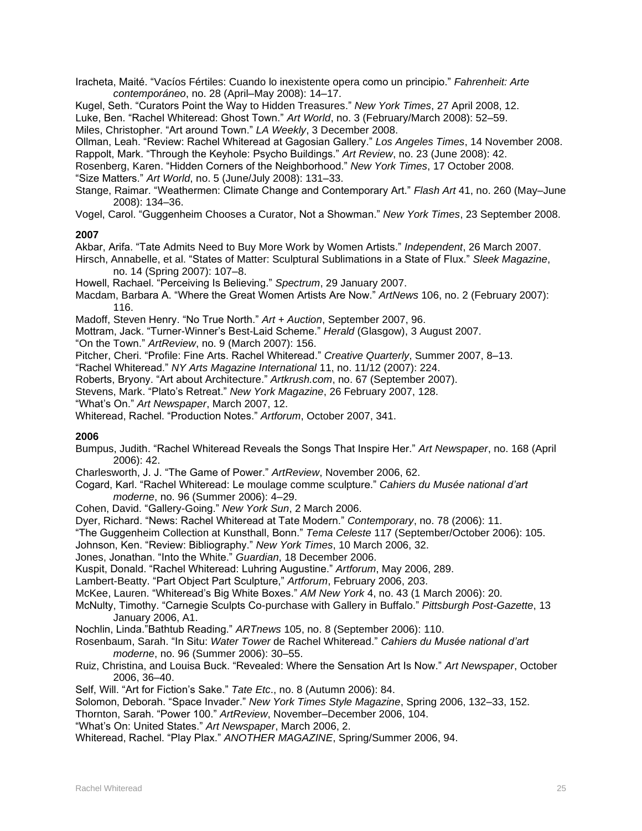Iracheta, Maité. "Vacíos Fértiles: Cuando lo inexistente opera como un principio." *Fahrenheit: Arte contemporáneo*, no. 28 (April–May 2008): 14–17.

Kugel, Seth. "Curators Point the Way to Hidden Treasures." *New York Times*, 27 April 2008, 12. Luke, Ben. "Rachel Whiteread: Ghost Town." *Art World*, no. 3 (February/March 2008): 52–59. Miles, Christopher. "Art around Town." *LA Weekly*, 3 December 2008.

Ollman, Leah. "Review: Rachel Whiteread at Gagosian Gallery." *Los Angeles Times*, 14 November 2008.

Rappolt, Mark. "Through the Keyhole: Psycho Buildings." *Art Review*, no. 23 (June 2008): 42.

Rosenberg, Karen. "Hidden Corners of the Neighborhood." *New York Times*, 17 October 2008.

"Size Matters." *Art World*, no. 5 (June/July 2008): 131–33.

Stange, Raimar. "Weathermen: Climate Change and Contemporary Art." *Flash Art* 41, no. 260 (May–June 2008): 134–36.

Vogel, Carol. "Guggenheim Chooses a Curator, Not a Showman." *New York Times*, 23 September 2008.

### **2007**

Akbar, Arifa. "Tate Admits Need to Buy More Work by Women Artists." *Independent*, 26 March 2007.

Hirsch, Annabelle, et al. "States of Matter: Sculptural Sublimations in a State of Flux." *Sleek Magazine*, no. 14 (Spring 2007): 107–8.

Howell, Rachael. "Perceiving Is Believing." *Spectrum*, 29 January 2007.

Macdam, Barbara A. "Where the Great Women Artists Are Now." *ArtNews* 106, no. 2 (February 2007): 116.

Madoff, Steven Henry. "No True North." *Art + Auction*, September 2007, 96.

Mottram, Jack. "Turner-Winner's Best-Laid Scheme." *Herald* (Glasgow), 3 August 2007.

"On the Town." *ArtReview*, no. 9 (March 2007): 156.

Pitcher, Cheri. "Profile: Fine Arts. Rachel Whiteread." *Creative Quarterly*, Summer 2007, 8–13.

"Rachel Whiteread." *NY Arts Magazine International* 11, no. 11/12 (2007): 224.

Roberts, Bryony. "Art about Architecture." *Artkrush.com*, no. 67 (September 2007).

Stevens, Mark. "Plato's Retreat." *New York Magazine*, 26 February 2007, 128.

"What's On." *Art Newspaper*, March 2007, 12.

Whiteread, Rachel. "Production Notes." *Artforum*, October 2007, 341.

### **2006**

Bumpus, Judith. "Rachel Whiteread Reveals the Songs That Inspire Her." *Art Newspaper*, no. 168 (April 2006): 42.

Charlesworth, J. J. "The Game of Power." *ArtReview*, November 2006, 62.

- Cogard, Karl. "Rachel Whiteread: Le moulage comme sculpture." *Cahiers du Musée national d'art moderne*, no. 96 (Summer 2006): 4–29.
- Cohen, David. "Gallery-Going." *New York Sun*, 2 March 2006.

Dyer, Richard. "News: Rachel Whiteread at Tate Modern." *Contemporary*, no. 78 (2006): 11.

- "The Guggenheim Collection at Kunsthall, Bonn." *Tema Celeste* 117 (September/October 2006): 105.
- Johnson, Ken. "Review: Bibliography." *New York Times*, 10 March 2006, 32.

Jones, Jonathan. "Into the White." *Guardian*, 18 December 2006.

Kuspit, Donald. "Rachel Whiteread: Luhring Augustine." *Artforum*, May 2006, 289.

Lambert-Beatty. "Part Object Part Sculpture," *Artforum*, February 2006, 203.

- McKee, Lauren. "Whiteread's Big White Boxes." *AM New York* 4, no. 43 (1 March 2006): 20.
- McNulty, Timothy. "Carnegie Sculpts Co-purchase with Gallery in Buffalo." *Pittsburgh Post-Gazette*, 13 January 2006, A1.
- Nochlin, Linda."Bathtub Reading." *ARTnews* 105, no. 8 (September 2006): 110.

Rosenbaum, Sarah. "In Situ: *Water Tower* de Rachel Whiteread." *Cahiers du Musée national d'art moderne*, no. 96 (Summer 2006): 30–55.

- Ruiz, Christina, and Louisa Buck. "Revealed: Where the Sensation Art Is Now." *Art Newspaper*, October 2006, 36–40.
- Self, Will. "Art for Fiction's Sake." *Tate Etc*., no. 8 (Autumn 2006): 84.

Solomon, Deborah. "Space Invader." *New York Times Style Magazine*, Spring 2006, 132–33, 152.

- Thornton, Sarah. "Power 100." *ArtReview*, November–December 2006, 104.
- "What's On: United States." *Art Newspaper*, March 2006, 2.

Whiteread, Rachel. "Play Plax." *ANOTHER MAGAZINE*, Spring/Summer 2006, 94.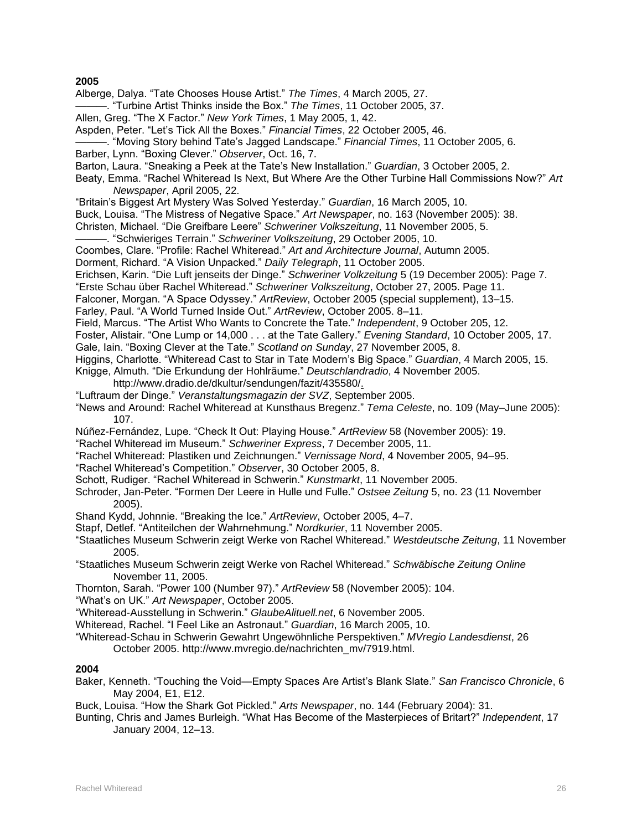Alberge, Dalya. "Tate Chooses House Artist." *The Times*, 4 March 2005, 27.

———. "Turbine Artist Thinks inside the Box." *The Times*, 11 October 2005, 37.

Allen, Greg. "The X Factor." *New York Times*, 1 May 2005, 1, 42.

Aspden, Peter. "Let's Tick All the Boxes." *Financial Times*, 22 October 2005, 46.

———. "Moving Story behind Tate's Jagged Landscape." *Financial Times*, 11 October 2005, 6.

Barber, Lynn. "Boxing Clever." *Observer*, Oct. 16, 7.

Barton, Laura. "Sneaking a Peek at the Tate's New Installation." *Guardian*, 3 October 2005, 2.

Beaty, Emma. "Rachel Whiteread Is Next, But Where Are the Other Turbine Hall Commissions Now?" *Art Newspaper*, April 2005, 22.

"Britain's Biggest Art Mystery Was Solved Yesterday." *Guardian*, 16 March 2005, 10.

Buck, Louisa. "The Mistress of Negative Space." *Art Newspaper*, no. 163 (November 2005): 38.

Christen, Michael. "Die Greifbare Leere" *Schweriner Volkszeitung*, 11 November 2005, 5.

———. "Schwieriges Terrain." *Schweriner Volkszeitung*, 29 October 2005, 10.

Coombes, Clare. "Profile: Rachel Whiteread." *Art and Architecture Journal*, Autumn 2005.

Dorment, Richard. "A Vision Unpacked." *Daily Telegraph*, 11 October 2005.

Erichsen, Karin. "Die Luft jenseits der Dinge." *Schweriner Volkzeitung* 5 (19 December 2005): Page 7.

"Erste Schau über Rachel Whiteread." *Schweriner Volkszeitung*, October 27, 2005. Page 11.

Falconer, Morgan. "A Space Odyssey." *ArtReview*, October 2005 (special supplement), 13–15.

Farley, Paul. "A World Turned Inside Out." *ArtReview*, October 2005. 8–11.

Field, Marcus. "The Artist Who Wants to Concrete the Tate." *Independent*, 9 October 205, 12.

Foster, Alistair. "One Lump or 14,000 . . . at the Tate Gallery." *Evening Standard*, 10 October 2005, 17.

Gale, Iain. "Boxing Clever at the Tate." *Scotland on Sunday*, 27 November 2005, 8.

Higgins, Charlotte. "Whiteread Cast to Star in Tate Modern's Big Space." *Guardian*, 4 March 2005, 15.

Knigge, Almuth. "Die Erkundung der Hohlräume." *Deutschlandradio*, 4 November 2005.

- http://www.dradio.de/dkultur/sendungen/fazit/435580/.
- "Luftraum der Dinge." *Veranstaltungsmagazin der SVZ*, September 2005.

"News and Around: Rachel Whiteread at Kunsthaus Bregenz." *Tema Celeste*, no. 109 (May–June 2005): 107.

Núñez-Fernández, Lupe. "Check It Out: Playing House." *ArtReview* 58 (November 2005): 19.

"Rachel Whiteread im Museum." *Schweriner Express*, 7 December 2005, 11.

"Rachel Whiteread: Plastiken und Zeichnungen." *Vernissage Nord*, 4 November 2005, 94–95.

"Rachel Whiteread's Competition." *Observer*, 30 October 2005, 8.

Schott, Rudiger. "Rachel Whiteread in Schwerin." *Kunstmarkt*, 11 November 2005.

Schroder, Jan-Peter. "Formen Der Leere in Hulle und Fulle." *Ostsee Zeitung* 5, no. 23 (11 November 2005).

Shand Kydd, Johnnie. "Breaking the Ice." *ArtReview*, October 2005, 4–7.

Stapf, Detlef. "Antiteilchen der Wahrnehmung." *Nordkurier*, 11 November 2005.

"Staatliches Museum Schwerin zeigt Werke von Rachel Whiteread." *Westdeutsche Zeitung*, 11 November 2005.

"Staatliches Museum Schwerin zeigt Werke von Rachel Whiteread." *Schwäbische Zeitung Online* November 11, 2005.

Thornton, Sarah. "Power 100 (Number 97)." *ArtReview* 58 (November 2005): 104.

"What's on UK." *Art Newspaper*, October 2005.

"Whiteread-Ausstellung in Schwerin." *GlaubeAlituell.net*, 6 November 2005.

Whiteread, Rachel. "I Feel Like an Astronaut." *Guardian*, 16 March 2005, 10.

"Whiteread-Schau in Schwerin Gewahrt Ungewöhnliche Perspektiven." *MVregio Landesdienst*, 26

October 2005. http://www.mvregio.de/nachrichten\_mv/7919.html.

### **2004**

Baker, Kenneth. "Touching the Void—Empty Spaces Are Artist's Blank Slate." *San Francisco Chronicle*, 6 May 2004, E1, E12.

Buck, Louisa. "How the Shark Got Pickled." *Arts Newspaper*, no. 144 (February 2004): 31.

Bunting, Chris and James Burleigh. "What Has Become of the Masterpieces of Britart?" *Independent*, 17 January 2004, 12–13.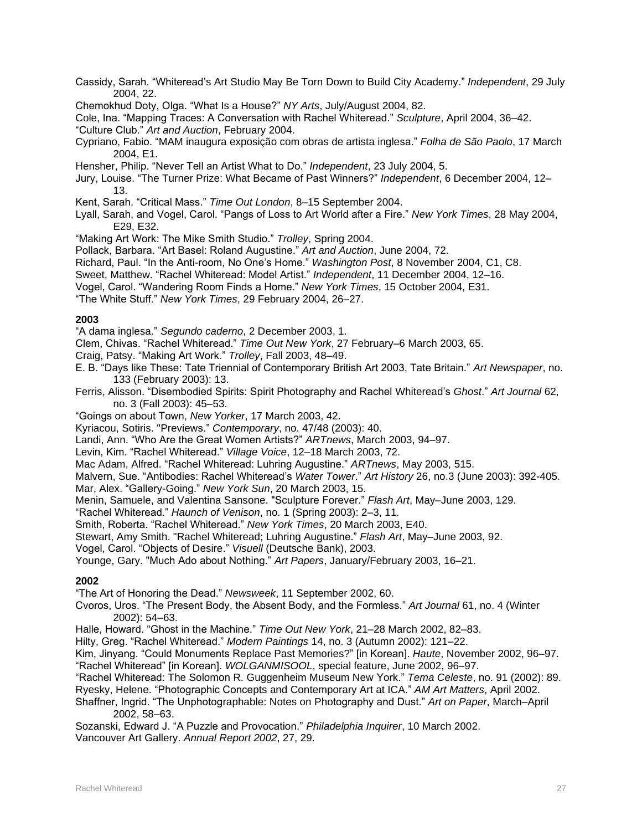Cassidy, Sarah. "Whiteread's Art Studio May Be Torn Down to Build City Academy." *Independent*, 29 July 2004, 22.

Chemokhud Doty, Olga. "What Is a House?" *NY Arts*, July/August 2004, 82.

Cole, Ina. "Mapping Traces: A Conversation with Rachel Whiteread." *Sculpture*, April 2004, 36–42. "Culture Club." *Art and Auction*, February 2004.

- Cypriano, Fabio. "MAM inaugura exposição com obras de artista inglesa." *Folha de São Paolo*, 17 March 2004, E1.
- Hensher, Philip. "Never Tell an Artist What to Do." *Independent*, 23 July 2004, 5.
- Jury, Louise. "The Turner Prize: What Became of Past Winners?" *Independent*, 6 December 2004, 12– 13.
- Kent, Sarah. "Critical Mass." *Time Out London*, 8–15 September 2004.
- Lyall, Sarah, and Vogel, Carol. "Pangs of Loss to Art World after a Fire." *New York Times*, 28 May 2004, E29, E32.
- "Making Art Work: The Mike Smith Studio." *Trolley*, Spring 2004.
- Pollack, Barbara. "Art Basel: Roland Augustine." *Art and Auction*, June 2004, 72.
- Richard, Paul. "In the Anti-room, No One's Home." *Washington Post*, 8 November 2004, C1, C8.
- Sweet, Matthew. "Rachel Whiteread: Model Artist." *Independent*, 11 December 2004, 12–16.
- Vogel, Carol. "Wandering Room Finds a Home." *New York Times*, 15 October 2004, E31.

"The White Stuff." *New York Times*, 29 February 2004, 26–27.

### **2003**

"A dama inglesa." *Segundo caderno*, 2 December 2003, 1.

Clem, Chivas. "Rachel Whiteread." *Time Out New York*, 27 February–6 March 2003, 65.

- Craig, Patsy. "Making Art Work." *Trolley*, Fall 2003, 48–49.
- E. B. "Days like These: Tate Triennial of Contemporary British Art 2003, Tate Britain." *Art Newspaper*, no. 133 (February 2003): 13.
- Ferris, Alisson. "Disembodied Spirits: Spirit Photography and Rachel Whiteread's *Ghost*." *Art Journal* 62, no. 3 (Fall 2003): 45–53.

"Goings on about Town, *New Yorker*, 17 March 2003, 42.

Kyriacou, Sotiris. "Previews." *Contemporary*, no. 47/48 (2003): 40.

Landi, Ann. "Who Are the Great Women Artists?" *ARTnews*, March 2003, 94–97.

Levin, Kim. "Rachel Whiteread." *Village Voice*, 12–18 March 2003, 72.

Mac Adam, Alfred. "Rachel Whiteread: Luhring Augustine." *ARTnews*, May 2003, 515.

Malvern, Sue. "Antibodies: Rachel Whiteread's *Water Tower*." *Art History* 26, no.3 (June 2003): 392-405. Mar, Alex. "Gallery-Going." *New York Sun*, 20 March 2003, 15.

Menin, Samuele, and Valentina Sansone. "Sculpture Forever." *Flash Art*, May–June 2003, 129.

"Rachel Whiteread." *Haunch of Venison*, no. 1 (Spring 2003): 2–3, 11.

Smith, Roberta. "Rachel Whiteread." *New York Times*, 20 March 2003, E40.

Stewart, Amy Smith. "Rachel Whiteread; Luhring Augustine." *Flash Art*, May–June 2003, 92.

Vogel, Carol. "Objects of Desire." *Visuell* (Deutsche Bank), 2003.

Younge, Gary. "Much Ado about Nothing." *Art Papers*, January/February 2003, 16–21.

### **2002**

"The Art of Honoring the Dead." *Newsweek*, 11 September 2002, 60.

Cvoros, Uros. "The Present Body, the Absent Body, and the Formless." *Art Journal* 61, no. 4 (Winter 2002): 54–63.

Halle, Howard. "Ghost in the Machine." *Time Out New York*, 21–28 March 2002, 82–83.

Hilty, Greg. "Rachel Whiteread." *Modern Paintings* 14, no. 3 (Autumn 2002): 121–22.

Kim, Jinyang. "Could Monuments Replace Past Memories?" [in Korean]. *Haute*, November 2002, 96–97. "Rachel Whiteread" [in Korean]. *WOLGANMISOOL*, special feature, June 2002, 96–97.

"Rachel Whiteread: The Solomon R. Guggenheim Museum New York." *Tema Celeste*, no. 91 (2002): 89.

Ryesky, Helene. "Photographic Concepts and Contemporary Art at ICA." *AM Art Matters*, April 2002.

Shaffner, Ingrid. "The Unphotographable: Notes on Photography and Dust." *Art on Paper*, March–April 2002, 58–63.

Sozanski, Edward J. "A Puzzle and Provocation." *Philadelphia Inquirer*, 10 March 2002. Vancouver Art Gallery. *Annual Report 2002*, 27, 29.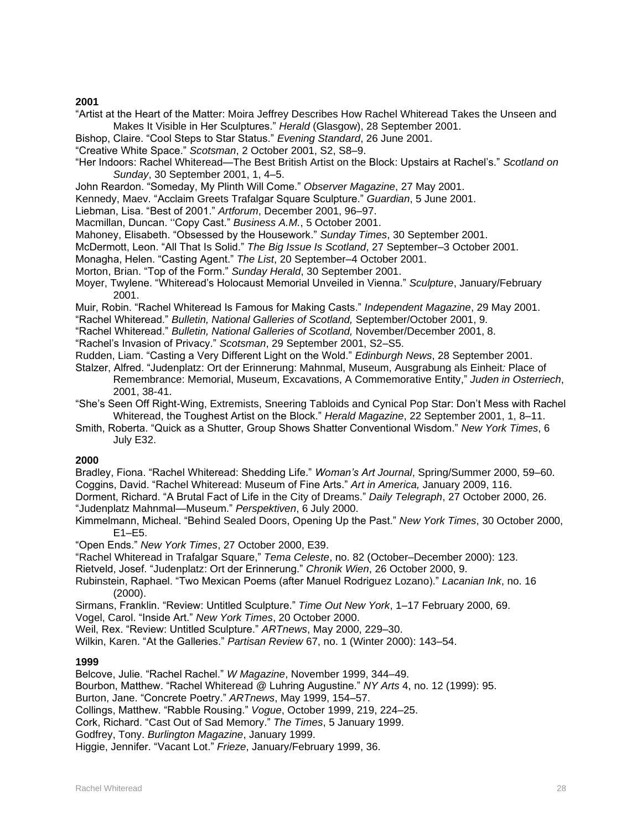- "Artist at the Heart of the Matter: Moira Jeffrey Describes How Rachel Whiteread Takes the Unseen and Makes It Visible in Her Sculptures." *Herald* (Glasgow), 28 September 2001.
- Bishop, Claire. "Cool Steps to Star Status." *Evening Standard*, 26 June 2001.
- "Creative White Space." *Scotsman*, 2 October 2001, S2, S8–9.
- "Her Indoors: Rachel Whiteread—The Best British Artist on the Block: Upstairs at Rachel's." *Scotland on Sunday*, 30 September 2001, 1, 4–5.
- John Reardon. "Someday, My Plinth Will Come." *Observer Magazine*, 27 May 2001.
- Kennedy, Maev. "Acclaim Greets Trafalgar Square Sculpture." *Guardian*, 5 June 2001.
- Liebman, Lisa. "Best of 2001." *Artforum*, December 2001, 96–97.
- Macmillan, Duncan. ''Copy Cast." *Business A.M.*, 5 October 2001.
- Mahoney, Elisabeth. "Obsessed by the Housework." *Sunday Times*, 30 September 2001.
- McDermott, Leon. "All That Is Solid." *The Big Issue Is Scotland*, 27 September–3 October 2001.
- Monagha, Helen. "Casting Agent." *The List*, 20 September–4 October 2001.
- Morton, Brian. "Top of the Form." *Sunday Herald*, 30 September 2001.
- Moyer, Twylene. "Whiteread's Holocaust Memorial Unveiled in Vienna." *Sculpture*, January/February 2001.
- Muir, Robin. "Rachel Whiteread Is Famous for Making Casts." *Independent Magazine*, 29 May 2001.
- "Rachel Whiteread." *Bulletin, National Galleries of Scotland,* September/October 2001, 9.
- "Rachel Whiteread." *Bulletin, National Galleries of Scotland,* November/December 2001, 8.
- "Rachel's Invasion of Privacy." *Scotsman*, 29 September 2001, S2–S5.
- Rudden, Liam. "Casting a Very Different Light on the Wold." *Edinburgh News*, 28 September 2001.
- Stalzer, Alfred. "Judenplatz: Ort der Erinnerung: Mahnmal, Museum, Ausgrabung als Einheit*:* Place of Remembrance: Memorial, Museum, Excavations, A Commemorative Entity," *Juden in Osterriech*, 2001, 38-41.
- "She's Seen Off Right-Wing, Extremists, Sneering Tabloids and Cynical Pop Star: Don't Mess with Rachel Whiteread, the Toughest Artist on the Block." *Herald Magazine*, 22 September 2001, 1, 8–11.
- Smith, Roberta. "Quick as a Shutter, Group Shows Shatter Conventional Wisdom." *New York Times*, 6 July E32.

### **2000**

Bradley, Fiona. "Rachel Whiteread: Shedding Life." *Woman's Art Journal*, Spring/Summer 2000, 59–60. Coggins, David. "Rachel Whiteread: Museum of Fine Arts." *Art in America,* January 2009, 116.

- Dorment, Richard. "A Brutal Fact of Life in the City of Dreams." *Daily Telegraph*, 27 October 2000, 26. "Judenplatz Mahnmal—Museum." *Perspektiven*, 6 July 2000.
- Kimmelmann, Micheal. "Behind Sealed Doors, Opening Up the Past." *New York Times*, 30 October 2000, E1–E5.
- "Open Ends." *New York Times*, 27 October 2000, E39.
- "Rachel Whiteread in Trafalgar Square," *Tema Celeste*, no. 82 (October–December 2000): 123.
- Rietveld, Josef. "Judenplatz: Ort der Erinnerung." *Chronik Wien*, 26 October 2000, 9.
- Rubinstein, Raphael. "Two Mexican Poems (after Manuel Rodriguez Lozano)." *Lacanian Ink*, no. 16 (2000).
- Sirmans, Franklin. "Review: Untitled Sculpture." *Time Out New York*, 1–17 February 2000, 69.
- Vogel, Carol. "Inside Art." *New York Times*, 20 October 2000.
- Weil, Rex. "Review: Untitled Sculpture." *ARTnews*, May 2000, 229–30.
- Wilkin, Karen. "At the Galleries." *Partisan Review* 67, no. 1 (Winter 2000): 143–54.

#### **1999**

- Belcove, Julie. "Rachel Rachel." *W Magazine*, November 1999, 344–49.
- Bourbon, Matthew. "Rachel Whiteread @ Luhring Augustine." *NY Arts* 4, no. 12 (1999): 95.
- Burton, Jane. "Concrete Poetry." *ARTnews*, May 1999, 154–57.
- Collings, Matthew. "Rabble Rousing." *Vogue*, October 1999, 219, 224–25.
- Cork, Richard. "Cast Out of Sad Memory." *The Times*, 5 January 1999.
- Godfrey, Tony. *Burlington Magazine*, January 1999.
- Higgie, Jennifer. "Vacant Lot." *Frieze*, January/February 1999, 36.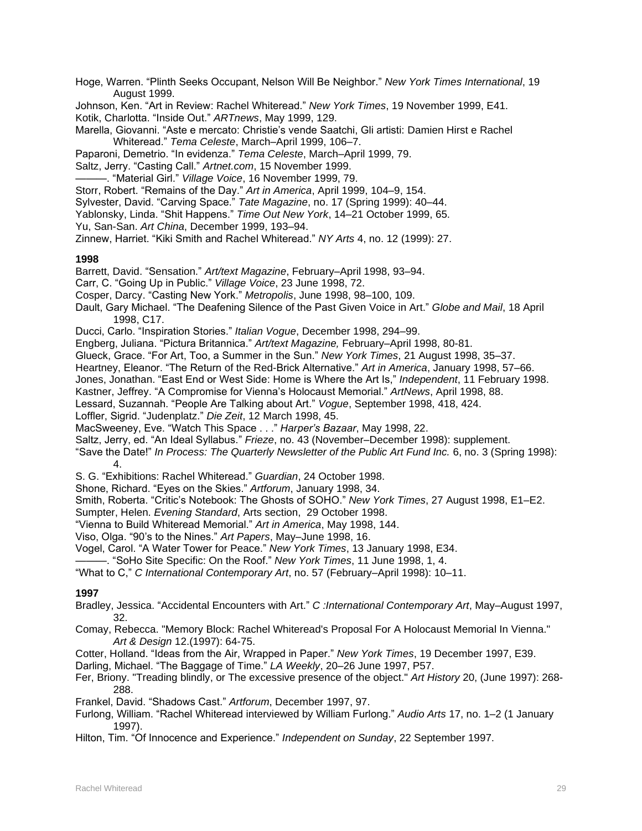Hoge, Warren. "Plinth Seeks Occupant, Nelson Will Be Neighbor." *New York Times International*, 19 August 1999.

Johnson, Ken. "Art in Review: Rachel Whiteread." *New York Times*, 19 November 1999, E41. Kotik, Charlotta. "Inside Out." *ARTnews*, May 1999, 129.

Marella, Giovanni. "Aste e mercato: Christie's vende Saatchi, Gli artisti: Damien Hirst e Rachel Whiteread." *Tema Celeste*, March–April 1999, 106–7.

Paparoni, Demetrio. "In evidenza." *Tema Celeste*, March–April 1999, 79.

- Saltz, Jerry. "Casting Call." *Artnet.com*, 15 November 1999.
- ———. "Material Girl." *Village Voice*, 16 November 1999, 79.
- Storr, Robert. "Remains of the Day." *Art in America*, April 1999, 104–9, 154.
- Sylvester, David. "Carving Space." *Tate Magazine*, no. 17 (Spring 1999): 40–44.

Yablonsky, Linda. "Shit Happens." *Time Out New York*, 14–21 October 1999, 65.

Yu, San-San. *Art China*, December 1999, 193–94.

Zinnew, Harriet. "Kiki Smith and Rachel Whiteread." *NY Arts* 4, no. 12 (1999): 27.

### **1998**

Barrett, David. "Sensation." *Art/text Magazine*, February–April 1998, 93–94.

Carr, C. "Going Up in Public." *Village Voice*, 23 June 1998, 72.

- Cosper, Darcy. "Casting New York." *Metropolis*, June 1998, 98–100, 109.
- Dault, Gary Michael. "The Deafening Silence of the Past Given Voice in Art." *Globe and Mail*, 18 April 1998, C17.

Ducci, Carlo. "Inspiration Stories." *Italian Vogue*, December 1998, 294–99.

Engberg, Juliana. "Pictura Britannica." *Art/text Magazine,* February–April 1998, 80-81.

Glueck, Grace. "For Art, Too, a Summer in the Sun." *New York Times*, 21 August 1998, 35–37.

Heartney, Eleanor. "The Return of the Red-Brick Alternative." *Art in America*, January 1998, 57–66.

Jones, Jonathan. "East End or West Side: Home is Where the Art Is," *Independent*, 11 February 1998.

Kastner, Jeffrey. "A Compromise for Vienna's Holocaust Memorial." *ArtNews*, April 1998, 88.

Lessard, Suzannah. "People Are Talking about Art." *Vogue*, September 1998, 418, 424.

Loffler, Sigrid. "Judenplatz." *Die Zeit*, 12 March 1998, 45.

MacSweeney, Eve. "Watch This Space . . ." *Harper's Bazaar*, May 1998, 22.

Saltz, Jerry, ed. "An Ideal Syllabus." *Frieze*, no. 43 (November–December 1998): supplement.

- "Save the Date!" *In Process: The Quarterly Newsletter of the Public Art Fund Inc.* 6, no. 3 (Spring 1998): 4.
- S. G. "Exhibitions: Rachel Whiteread." *Guardian*, 24 October 1998.

Shone, Richard. "Eyes on the Skies." *Artforum*, January 1998, 34.

Smith, Roberta. "Critic's Notebook: The Ghosts of SOHO." *New York Times*, 27 August 1998, E1–E2.

Sumpter, Helen. *Evening Standard*, Arts section, 29 October 1998.

"Vienna to Build Whiteread Memorial." *Art in America*, May 1998, 144.

Viso, Olga. "90's to the Nines." *Art Papers*, May–June 1998, 16.

- Vogel, Carol. "A Water Tower for Peace." *New York Times*, 13 January 1998, E34.
- ———. "SoHo Site Specific: On the Roof." *New York Times*, 11 June 1998, 1, 4.

"What to C," *C International Contemporary Art*, no. 57 (February–April 1998): 10–11.

### **1997**

- Bradley, Jessica. "Accidental Encounters with Art." *C :International Contemporary Art*, May–August 1997, 32.
- Comay, Rebecca. "Memory Block: Rachel Whiteread's Proposal For A Holocaust Memorial In Vienna." *Art & Design* 12.(1997): 64-75.

Cotter, Holland. "Ideas from the Air, Wrapped in Paper." *New York Times*, 19 December 1997, E39.

Darling, Michael. "The Baggage of Time." *LA Weekly*, 20–26 June 1997, P57.

- Fer, Briony. "Treading blindly, or The excessive presence of the object." *Art History* 20, (June 1997): 268- 288.
- Frankel, David. "Shadows Cast." *Artforum*, December 1997, 97.
- Furlong, William. "Rachel Whiteread interviewed by William Furlong." *Audio Arts* 17, no. 1–2 (1 January 1997).
- Hilton, Tim. "Of Innocence and Experience." *Independent on Sunday*, 22 September 1997.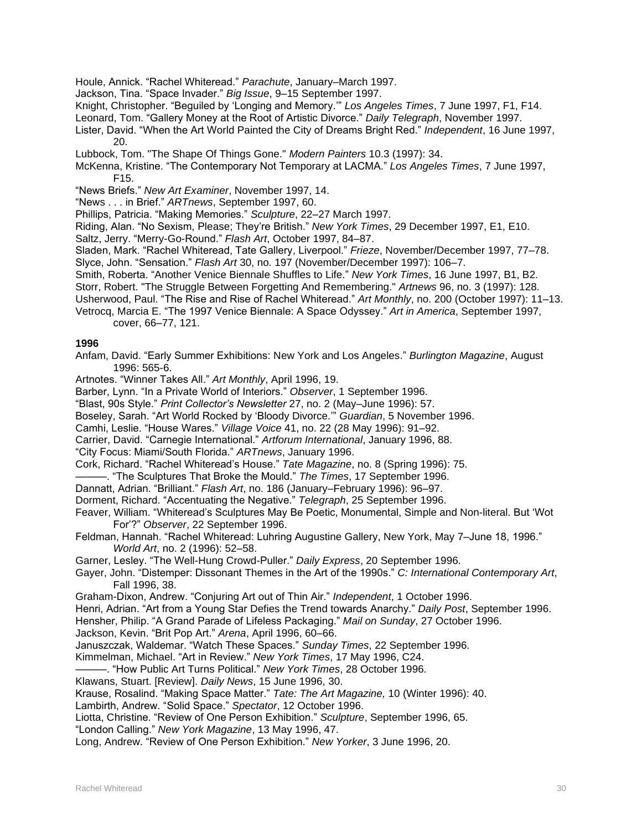- Houle, Annick. "Rachel Whiteread." *Parachute*, January–March 1997.
- Jackson, Tina. "Space Invader." *Big Issue*, 9–15 September 1997.
- Knight, Christopher. "Beguiled by 'Longing and Memory.'" *Los Angeles Times*, 7 June 1997, F1, F14.
- Leonard, Tom. "Gallery Money at the Root of Artistic Divorce." *Daily Telegraph*, November 1997.
- Lister, David. "When the Art World Painted the City of Dreams Bright Red." *Independent*, 16 June 1997, 20.
- Lubbock, Tom. "The Shape Of Things Gone." *Modern Painters* 10.3 (1997): 34.
- McKenna, Kristine. "The Contemporary Not Temporary at LACMA." *Los Angeles Times*, 7 June 1997, F15.
- "News Briefs." *New Art Examiner*, November 1997, 14.
- "News . . . in Brief." *ARTnews*, September 1997, 60.
- Phillips, Patricia. "Making Memories." *Sculpture*, 22–27 March 1997.
- Riding, Alan. "No Sexism, Please; They're British." *New York Times*, 29 December 1997, E1, E10.
- Saltz, Jerry. "Merry-Go-Round." *Flash Art*, October 1997, 84–87.
- Sladen, Mark. "Rachel Whiteread, Tate Gallery, Liverpool." *Frieze*, November/December 1997, 77–78.
- Slyce, John. "Sensation." *Flash Art* 30, no. 197 (November/December 1997): 106–7.
- Smith, Roberta. "Another Venice Biennale Shuffles to Life." *New York Times*, 16 June 1997, B1, B2.
- Storr, Robert. "The Struggle Between Forgetting And Remembering." *Artnews* 96, no. 3 (1997): 128.
- Usherwood, Paul. "The Rise and Rise of Rachel Whiteread." *Art Monthly*, no. 200 (October 1997): 11–13.
- Vetrocq, Marcia E. "The 1997 Venice Biennale: A Space Odyssey." *Art in America*, September 1997, cover, 66–77, 121.

- Anfam, David. "Early Summer Exhibitions: New York and Los Angeles." *Burlington Magazine*, August 1996: 565-6.
- Artnotes. "Winner Takes All." *Art Monthly*, April 1996, 19.
- Barber, Lynn. "In a Private World of Interiors." *Observer*, 1 September 1996.
- "Blast, 90s Style." *Print Collector's Newsletter* 27, no. 2 (May–June 1996): 57.
- Boseley, Sarah. "Art World Rocked by 'Bloody Divorce.'" *Guardian*, 5 November 1996.
- Camhi, Leslie. "House Wares." *Village Voice* 41, no. 22 (28 May 1996): 91–92.
- Carrier, David. "Carnegie International." *Artforum International*, January 1996, 88.
- "City Focus: Miami/South Florida." *ARTnews*, January 1996.
- Cork, Richard. "Rachel Whiteread's House." *Tate Magazine*, no. 8 (Spring 1996): 75.
- ———. "The Sculptures That Broke the Mould." *The Times*, 17 September 1996.
- Dannatt, Adrian. "Brilliant." *Flash Art*, no. 186 (January–February 1996): 96–97.
- Dorment, Richard. "Accentuating the Negative." *Telegraph*, 25 September 1996.
- Feaver, William. "Whiteread's Sculptures May Be Poetic, Monumental, Simple and Non-literal. But 'Wot For'?" *Observer*, 22 September 1996.
- Feldman, Hannah. "Rachel Whiteread: Luhring Augustine Gallery, New York, May 7–June 18, 1996." *World Art*, no. 2 (1996): 52–58.
- Garner, Lesley. "The Well-Hung Crowd-Puller." *Daily Express*, 20 September 1996.
- Gayer, John. "Distemper: Dissonant Themes in the Art of the 1990s." *C: International Contemporary Art*, Fall 1996, 38.
- Graham-Dixon, Andrew. "Conjuring Art out of Thin Air." *Independent*, 1 October 1996.
- Henri, Adrian. "Art from a Young Star Defies the Trend towards Anarchy." *Daily Post*, September 1996.

Hensher, Philip. "A Grand Parade of Lifeless Packaging." *Mail on Sunday*, 27 October 1996.

- Jackson, Kevin. "Brit Pop Art." *Arena*, April 1996, 60–66.
- Januszczak, Waldemar. "Watch These Spaces." *Sunday Times*, 22 September 1996.
- Kimmelman, Michael. "Art in Review." *New York Times*, 17 May 1996, C24.
- ———. "How Public Art Turns Political." *New York Times*, 28 October 1996.
- Klawans, Stuart. [Review]. *Daily News*, 15 June 1996, 30.
- Krause, Rosalind. "Making Space Matter." *Tate: The Art Magazine,* 10 (Winter 1996): 40.
- Lambirth, Andrew. "Solid Space." *Spectator*, 12 October 1996.
- Liotta, Christine. "Review of One Person Exhibition." *Sculpture*, September 1996, 65.
- "London Calling." *New York Magazine*, 13 May 1996, 47.
- Long, Andrew. "Review of One Person Exhibition." *New Yorker*, 3 June 1996, 20.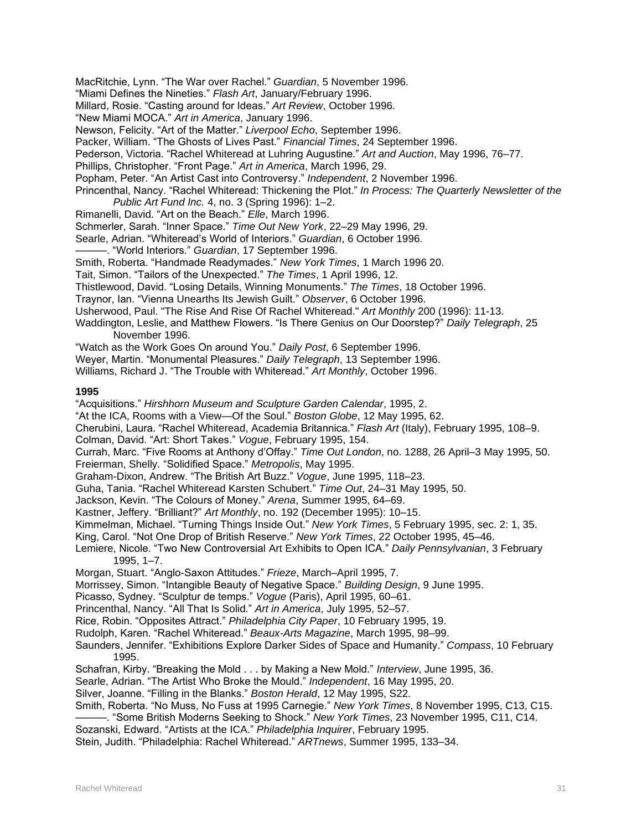MacRitchie, Lynn. "The War over Rachel." *Guardian*, 5 November 1996.

"Miami Defines the Nineties." *Flash Art*, January/February 1996.

Millard, Rosie. "Casting around for Ideas." *Art Review*, October 1996.

"New Miami MOCA." *Art in America*, January 1996.

Newson, Felicity. "Art of the Matter." *Liverpool Echo*, September 1996.

Packer, William. "The Ghosts of Lives Past." *Financial Times*, 24 September 1996.

Pederson, Victoria. "Rachel Whiteread at Luhring Augustine." *Art and Auction*, May 1996, 76–77.

Phillips, Christopher. "Front Page." *Art in America*, March 1996, 29.

Popham, Peter. "An Artist Cast into Controversy." *Independent*, 2 November 1996.

Princenthal, Nancy. "Rachel Whiteread: Thickening the Plot." *In Process: The Quarterly Newsletter of the Public Art Fund Inc.* 4, no. 3 (Spring 1996): 1–2.

Rimanelli, David. "Art on the Beach." *Elle*, March 1996.

Schmerler, Sarah. "Inner Space." *Time Out New York*, 22–29 May 1996, 29.

Searle, Adrian. "Whiteread's World of Interiors." *Guardian*, 6 October 1996.

———. "World Interiors." *Guardian*, 17 September 1996.

Smith, Roberta. "Handmade Readymades." *New York Times*, 1 March 1996 20.

Tait, Simon. "Tailors of the Unexpected." *The Times*, 1 April 1996, 12.

Thistlewood, David. "Losing Details, Winning Monuments." *The Times*, 18 October 1996.

Traynor, Ian. "Vienna Unearths Its Jewish Guilt." *Observer*, 6 October 1996.

Usherwood, Paul. "The Rise And Rise Of Rachel Whiteread." *Art Monthly* 200 (1996): 11-13.

Waddington, Leslie, and Matthew Flowers. "Is There Genius on Our Doorstep?" *Daily Telegraph*, 25 November 1996.

"Watch as the Work Goes On around You." *Daily Post*, 6 September 1996.

Weyer, Martin. "Monumental Pleasures." *Daily Telegraph*, 13 September 1996.

Williams, Richard J. "The Trouble with Whiteread." *Art Monthly*, October 1996.

### **1995**

"Acquisitions." *Hirshhorn Museum and Sculpture Garden Calendar*, 1995, 2.

"At the ICA, Rooms with a View—Of the Soul." *Boston Globe*, 12 May 1995, 62.

Cherubini, Laura. "Rachel Whiteread, Academia Britannica." *Flash Art* (Italy), February 1995, 108–9.

Colman, David. "Art: Short Takes." *Vogue*, February 1995, 154.

Currah, Marc. "Five Rooms at Anthony d'Offay." *Time Out London*, no. 1288, 26 April–3 May 1995, 50. Freierman, Shelly. "Solidified Space." *Metropolis*, May 1995.

Graham-Dixon, Andrew. "The British Art Buzz." *Vogue*, June 1995, 118–23.

Guha, Tania. "Rachel Whiteread Karsten Schubert." *Time Out*, 24–31 May 1995, 50.

Jackson, Kevin. "The Colours of Money." *Arena*, Summer 1995, 64–69.

Kastner, Jeffery. "Brilliant?" *Art Monthly*, no. 192 (December 1995): 10–15.

Kimmelman, Michael. "Turning Things Inside Out." *New York Times*, 5 February 1995, sec. 2: 1, 35.

King, Carol. "Not One Drop of British Reserve." *New York Times*, 22 October 1995, 45–46.

Lemiere, Nicole. "Two New Controversial Art Exhibits to Open ICA." *Daily Pennsylvanian*, 3 February 1995, 1–7.

Morgan, Stuart. "Anglo-Saxon Attitudes." *Frieze*, March–April 1995, 7.

Morrissey, Simon. "Intangible Beauty of Negative Space." *Building Design*, 9 June 1995.

Picasso, Sydney. "Sculptur de temps." *Vogue* (Paris), April 1995, 60–61.

Princenthal, Nancy. "All That Is Solid." *Art in America*, July 1995, 52–57.

Rice, Robin. "Opposites Attract." *Philadelphia City Paper*, 10 February 1995, 19.

Rudolph, Karen. "Rachel Whiteread." *Beaux-Arts Magazine*, March 1995, 98–99.

Saunders, Jennifer. "Exhibitions Explore Darker Sides of Space and Humanity." *Compass*, 10 February 1995.

Schafran, Kirby. "Breaking the Mold . . . by Making a New Mold." *Interview*, June 1995, 36.

Searle, Adrian. "The Artist Who Broke the Mould." *Independent*, 16 May 1995, 20.

Silver, Joanne. "Filling in the Blanks." *Boston Herald*, 12 May 1995, S22.

Smith, Roberta. "No Muss, No Fuss at 1995 Carnegie." *New York Times*, 8 November 1995, C13, C15.

———. "Some British Moderns Seeking to Shock." *New York Times*, 23 November 1995, C11, C14.

Sozanski, Edward. "Artists at the ICA." *Philadelphia Inquirer*, February 1995.

Stein, Judith. "Philadelphia: Rachel Whiteread." *ARTnews*, Summer 1995, 133–34.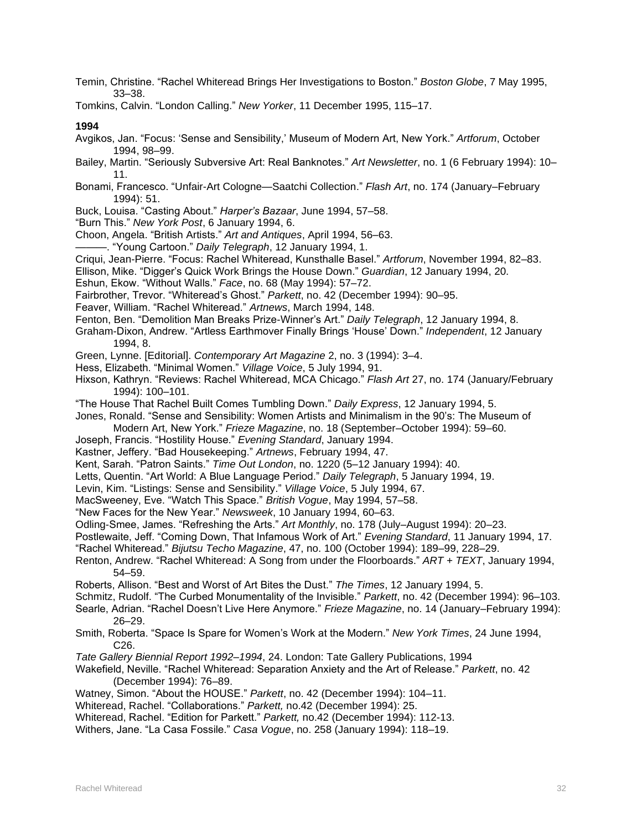Temin, Christine. "Rachel Whiteread Brings Her Investigations to Boston." *Boston Globe*, 7 May 1995, 33–38.

Tomkins, Calvin. "London Calling." *New Yorker*, 11 December 1995, 115–17.

**1994**

- Avgikos, Jan. "Focus: 'Sense and Sensibility,' Museum of Modern Art, New York." *Artforum*, October 1994, 98–99.
- Bailey, Martin. "Seriously Subversive Art: Real Banknotes." *Art Newsletter*, no. 1 (6 February 1994): 10– 11.
- Bonami, Francesco. "Unfair-Art Cologne—Saatchi Collection." *Flash Art*, no. 174 (January–February 1994): 51.
- Buck, Louisa. "Casting About." *Harper's Bazaar*, June 1994, 57–58.
- "Burn This." *New York Post*, 6 January 1994, 6.
- Choon, Angela. "British Artists." *Art and Antiques*, April 1994, 56–63.
- ———. "Young Cartoon." *Daily Telegraph*, 12 January 1994, 1.
- Criqui, Jean-Pierre. "Focus: Rachel Whiteread, Kunsthalle Basel." *Artforum*, November 1994, 82–83.
- Ellison, Mike. "Digger's Quick Work Brings the House Down." *Guardian*, 12 January 1994, 20.
- Eshun, Ekow. "Without Walls." *Face*, no. 68 (May 1994): 57–72.
- Fairbrother, Trevor. "Whiteread's Ghost." *Parkett*, no. 42 (December 1994): 90–95.
- Feaver, William. "Rachel Whiteread." *Artnews*, March 1994, 148.
- Fenton, Ben. "Demolition Man Breaks Prize-Winner's Art." *Daily Telegraph*, 12 January 1994, 8.
- Graham-Dixon, Andrew. "Artless Earthmover Finally Brings 'House' Down." *Independent*, 12 January 1994, 8.
- Green, Lynne. [Editorial]. *Contemporary Art Magazine* 2, no. 3 (1994): 3–4.
- Hess, Elizabeth. "Minimal Women." *Village Voice*, 5 July 1994, 91.
- Hixson, Kathryn. "Reviews: Rachel Whiteread, MCA Chicago." *Flash Art* 27, no. 174 (January/February 1994): 100–101.
- "The House That Rachel Built Comes Tumbling Down." *Daily Express*, 12 January 1994, 5.
- Jones, Ronald. "Sense and Sensibility: Women Artists and Minimalism in the 90's: The Museum of
- Modern Art, New York." *Frieze Magazine*, no. 18 (September–October 1994): 59–60.
- Joseph, Francis. "Hostility House." *Evening Standard*, January 1994.
- Kastner, Jeffery. "Bad Housekeeping." *Artnews*, February 1994, 47.
- Kent, Sarah. "Patron Saints." *Time Out London*, no. 1220 (5–12 January 1994): 40.
- Letts, Quentin. "Art World: A Blue Language Period." *Daily Telegraph*, 5 January 1994, 19.
- Levin, Kim. "Listings: Sense and Sensibility." *Village Voice*, 5 July 1994, 67.
- MacSweeney, Eve. "Watch This Space." *British Vogue*, May 1994, 57–58.
- "New Faces for the New Year." *Newsweek*, 10 January 1994, 60–63.
- Odling-Smee, James. "Refreshing the Arts." *Art Monthly*, no. 178 (July–August 1994): 20–23.
- Postlewaite, Jeff. "Coming Down, That Infamous Work of Art." *Evening Standard*, 11 January 1994, 17.
- "Rachel Whiteread." *Bijutsu Techo Magazine*, 47, no. 100 (October 1994): 189–99, 228–29.
- Renton, Andrew. "Rachel Whiteread: A Song from under the Floorboards." *ART + TEXT*, January 1994, 54–59.
- Roberts, Allison. "Best and Worst of Art Bites the Dust." *The Times*, 12 January 1994, 5.
- Schmitz, Rudolf. "The Curbed Monumentality of the Invisible." *Parkett*, no. 42 (December 1994): 96–103.
- Searle, Adrian. "Rachel Doesn't Live Here Anymore." *Frieze Magazine*, no. 14 (January–February 1994): 26–29.
- Smith, Roberta. "Space Is Spare for Women's Work at the Modern." *New York Times*, 24 June 1994, C26.
- *Tate Gallery Biennial Report 1992–1994*, 24. London: Tate Gallery Publications, 1994
- Wakefield, Neville. "Rachel Whiteread: Separation Anxiety and the Art of Release." *Parkett*, no. 42 (December 1994): 76–89.
- Watney, Simon. "About the HOUSE." *Parkett*, no. 42 (December 1994): 104–11.
- Whiteread, Rachel. "Collaborations." *Parkett,* no.42 (December 1994): 25.
- Whiteread, Rachel. "Edition for Parkett." *Parkett,* no.42 (December 1994): 112-13.
- Withers, Jane. "La Casa Fossile." *Casa Vogue*, no. 258 (January 1994): 118–19.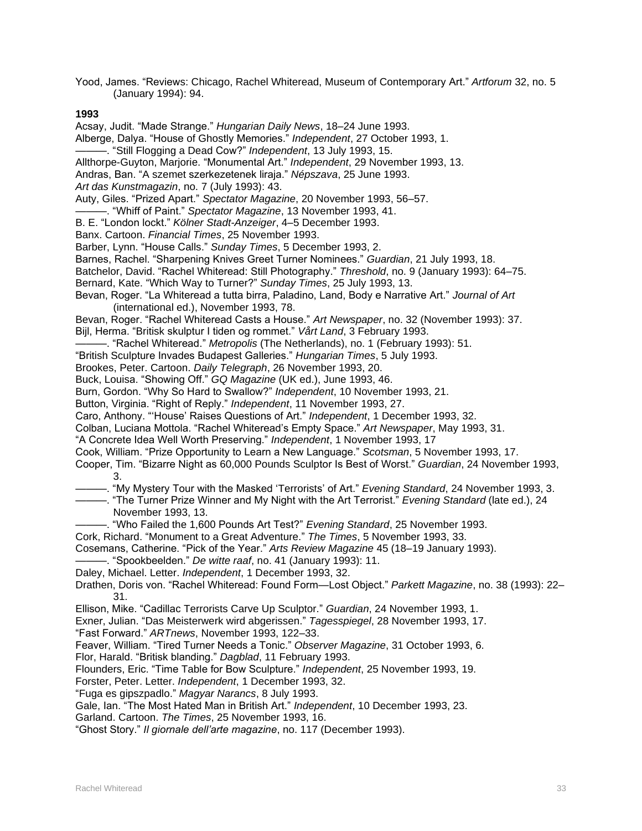Yood, James. "Reviews: Chicago, Rachel Whiteread, Museum of Contemporary Art." *Artforum* 32, no. 5 (January 1994): 94.

**1993**

Acsay, Judit. "Made Strange." *Hungarian Daily News*, 18–24 June 1993. Alberge, Dalya. "House of Ghostly Memories." *Independent*, 27 October 1993, 1. ———. "Still Flogging a Dead Cow?" *Independent*, 13 July 1993, 15. Allthorpe-Guyton, Marjorie. "Monumental Art." *Independent*, 29 November 1993, 13. Andras, Ban. "A szemet szerkezetenek liraja." *Népszava*, 25 June 1993. *Art das Kunstmagazin*, no. 7 (July 1993): 43. Auty, Giles. "Prized Apart." *Spectator Magazine*, 20 November 1993, 56–57. ———. "Whiff of Paint." *Spectator Magazine*, 13 November 1993, 41. B. E. "London lockt." *Kölner Stadt-Anzeiger*, 4–5 December 1993. Banx. Cartoon. *Financial Times*, 25 November 1993. Barber, Lynn. "House Calls." *Sunday Times*, 5 December 1993, 2. Barnes, Rachel. "Sharpening Knives Greet Turner Nominees." *Guardian*, 21 July 1993, 18. Batchelor, David. "Rachel Whiteread: Still Photography." *Threshold*, no. 9 (January 1993): 64–75. Bernard, Kate. "Which Way to Turner?" *Sunday Times*, 25 July 1993, 13. Bevan, Roger. "La Whiteread a tutta birra, Paladino, Land, Body e Narrative Art." *Journal of Art* (international ed.), November 1993, 78. Bevan, Roger. "Rachel Whiteread Casts a House." *Art Newspaper*, no. 32 (November 1993): 37. Bijl, Herma. "Britisk skulptur I tiden og rommet." *Vårt Land*, 3 February 1993. ———. "Rachel Whiteread." *Metropolis* (The Netherlands), no. 1 (February 1993): 51. "British Sculpture Invades Budapest Galleries." *Hungarian Times*, 5 July 1993. Brookes, Peter. Cartoon. *Daily Telegraph*, 26 November 1993, 20. Buck, Louisa. "Showing Off." *GQ Magazine* (UK ed.), June 1993, 46. Burn, Gordon. "Why So Hard to Swallow?" *Independent*, 10 November 1993, 21. Button, Virginia. "Right of Reply." *Independent*, 11 November 1993, 27. Caro, Anthony. "'House' Raises Questions of Art." *Independent*, 1 December 1993, 32. Colban, Luciana Mottola. "Rachel Whiteread's Empty Space." *Art Newspaper*, May 1993, 31. "A Concrete Idea Well Worth Preserving." *Independent*, 1 November 1993, 17 Cook, William. "Prize Opportunity to Learn a New Language." *Scotsman*, 5 November 1993, 17. Cooper, Tim. "Bizarre Night as 60,000 Pounds Sculptor Is Best of Worst." *Guardian*, 24 November 1993, 3. ———. "My Mystery Tour with the Masked 'Terrorists' of Art." *Evening Standard*, 24 November 1993, 3. ———. "The Turner Prize Winner and My Night with the Art Terrorist." *Evening Standard* (late ed.), 24 November 1993, 13. -. "Who Failed the 1,600 Pounds Art Test?" *Evening Standard*, 25 November 1993. Cork, Richard. "Monument to a Great Adventure." *The Times*, 5 November 1993, 33. Cosemans, Catherine. "Pick of the Year." *Arts Review Magazine* 45 (18–19 January 1993). ———. "Spookbeelden." *De witte raaf*, no. 41 (January 1993): 11. Daley, Michael. Letter. *Independent*, 1 December 1993, 32. Drathen, Doris von. "Rachel Whiteread: Found Form—Lost Object." *Parkett Magazine*, no. 38 (1993): 22– 31. Ellison, Mike. "Cadillac Terrorists Carve Up Sculptor." *Guardian*, 24 November 1993, 1. Exner, Julian. "Das Meisterwerk wird abgerissen." *Tagesspiegel*, 28 November 1993, 17. "Fast Forward." *ARTnews*, November 1993, 122–33. Feaver, William. "Tired Turner Needs a Tonic." *Observer Magazine*, 31 October 1993, 6. Flor, Harald. "Britisk blanding." *Dagblad*, 11 February 1993. Flounders, Eric. "Time Table for Bow Sculpture." *Independent*, 25 November 1993, 19. Forster, Peter. Letter. *Independent*, 1 December 1993, 32. "Fuga es gipszpadlo." *Magyar Narancs*, 8 July 1993. Gale, Ian. "The Most Hated Man in British Art." *Independent*, 10 December 1993, 23. Garland. Cartoon. *The Times*, 25 November 1993, 16. "Ghost Story." *Il giornale dell'arte magazine*, no. 117 (December 1993).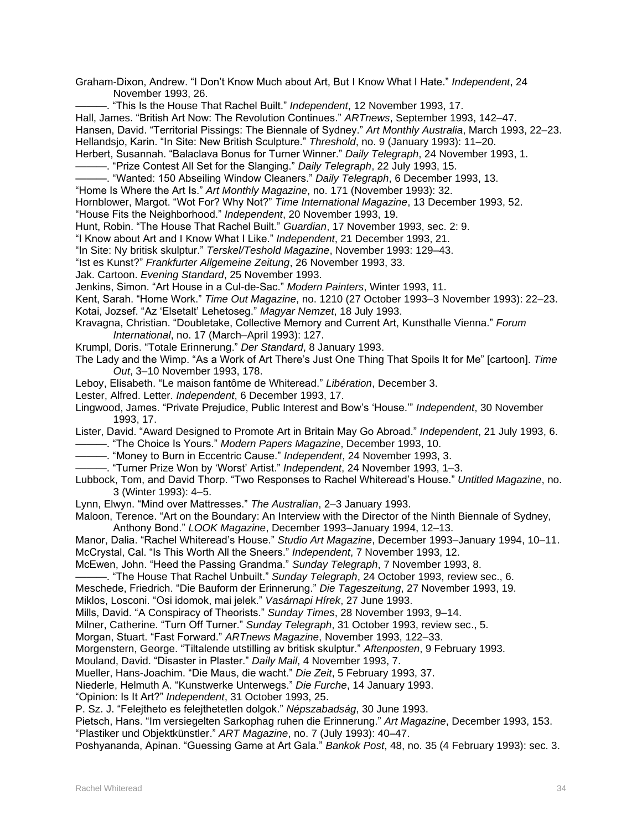Graham-Dixon, Andrew. "I Don't Know Much about Art, But I Know What I Hate." *Independent*, 24 November 1993, 26.

———. "This Is the House That Rachel Built." *Independent*, 12 November 1993, 17.

Hall, James. "British Art Now: The Revolution Continues." *ARTnews*, September 1993, 142–47.

Hansen, David. "Territorial Pissings: The Biennale of Sydney." *Art Monthly Australia*, March 1993, 22–23.

Hellandsjo, Karin. "In Site: New British Sculpture." *Threshold*, no. 9 (January 1993): 11–20.

Herbert, Susannah. "Balaclava Bonus for Turner Winner." *Daily Telegraph*, 24 November 1993, 1.

———. "Prize Contest All Set for the Slanging." *Daily Telegraph*, 22 July 1993, 15.

———. "Wanted: 150 Abseiling Window Cleaners." *Daily Telegraph*, 6 December 1993, 13.

"Home Is Where the Art Is." *Art Monthly Magazine*, no. 171 (November 1993): 32.

Hornblower, Margot. "Wot For? Why Not?" *Time International Magazine*, 13 December 1993, 52.

"House Fits the Neighborhood." *Independent*, 20 November 1993, 19.

Hunt, Robin. "The House That Rachel Built." *Guardian*, 17 November 1993, sec. 2: 9.

"I Know about Art and I Know What I Like." *Independent*, 21 December 1993, 21.

"In Site: Ny britisk skulptur." *Terskel/Teshold Magazine*, November 1993: 129–43.

"Ist es Kunst?" *Frankfurter Allgemeine Zeitung*, 26 November 1993, 33.

Jak. Cartoon. *Evening Standard*, 25 November 1993.

Jenkins, Simon. "Art House in a Cul-de-Sac." *Modern Painters*, Winter 1993, 11.

Kent, Sarah. "Home Work." *Time Out Magazine*, no. 1210 (27 October 1993–3 November 1993): 22–23. Kotai, Jozsef. "Az 'Elsetalt' Lehetoseg." *Magyar Nemzet*, 18 July 1993.

Kravagna, Christian. "Doubletake, Collective Memory and Current Art, Kunsthalle Vienna." *Forum International*, no. 17 (March–April 1993): 127.

Krumpl, Doris. "Totale Erinnerung." *Der Standard*, 8 January 1993.

The Lady and the Wimp. "As a Work of Art There's Just One Thing That Spoils It for Me" [cartoon]. *Time Out*, 3–10 November 1993, 178.

Leboy, Elisabeth. "Le maison fantôme de Whiteread." *Libération*, December 3.

Lester, Alfred. Letter. *Independent*, 6 December 1993, 17.

Lingwood, James. "Private Prejudice, Public Interest and Bow's 'House.'" *Independent*, 30 November 1993, 17.

Lister, David. "Award Designed to Promote Art in Britain May Go Abroad." *Independent*, 21 July 1993, 6. ———. "The Choice Is Yours." *Modern Papers Magazine*, December 1993, 10.

———. "Money to Burn in Eccentric Cause." *Independent*, 24 November 1993, 3.

———. "Turner Prize Won by 'Worst' Artist." *Independent*, 24 November 1993, 1–3.

Lubbock, Tom, and David Thorp. "Two Responses to Rachel Whiteread's House." *Untitled Magazine*, no. 3 (Winter 1993): 4–5.

Lynn, Elwyn. "Mind over Mattresses." *The Australian*, 2–3 January 1993.

Maloon, Terence. "Art on the Boundary: An Interview with the Director of the Ninth Biennale of Sydney,

Anthony Bond." *LOOK Magazine*, December 1993–January 1994, 12–13.

Manor, Dalia. "Rachel Whiteread's House." *Studio Art Magazine*, December 1993–January 1994, 10–11. McCrystal, Cal. "Is This Worth All the Sneers." *Independent*, 7 November 1993, 12.

McEwen, John. "Heed the Passing Grandma." *Sunday Telegraph*, 7 November 1993, 8.

-. "The House That Rachel Unbuilt." Sunday Telegraph, 24 October 1993, review sec., 6.

Meschede, Friedrich. "Die Bauform der Erinnerung." *Die Tageszeitung*, 27 November 1993, 19.

Miklos, Losconi. "Osi idomok, mai jelek." *Vasárnapi Hírek*, 27 June 1993.

Mills, David. "A Conspiracy of Theorists." *Sunday Times*, 28 November 1993, 9–14.

Milner, Catherine. "Turn Off Turner." *Sunday Telegraph*, 31 October 1993, review sec., 5.

Morgan, Stuart. "Fast Forward." *ARTnews Magazine*, November 1993, 122–33.

Morgenstern, George. "Tiltalende utstilling av britisk skulptur." *Aftenposten*, 9 February 1993.

Mouland, David. "Disaster in Plaster." *Daily Mail*, 4 November 1993, 7.

Mueller, Hans-Joachim. "Die Maus, die wacht." *Die Zeit*, 5 February 1993, 37.

Niederle, Helmuth A. "Kunstwerke Unterwegs." *Die Furche*, 14 January 1993.

"Opinion: Is It Art?" *Independent*, 31 October 1993, 25.

P. Sz. J. "Felejtheto es felejthetetlen dolgok." *Népszabadság*, 30 June 1993.

Pietsch, Hans. "Im versiegelten Sarkophag ruhen die Erinnerung." *Art Magazine*, December 1993, 153.

"Plastiker und Objektkünstler." *ART Magazine*, no. 7 (July 1993): 40–47.

Poshyananda, Apinan. "Guessing Game at Art Gala." *Bankok Post*, 48, no. 35 (4 February 1993): sec. 3.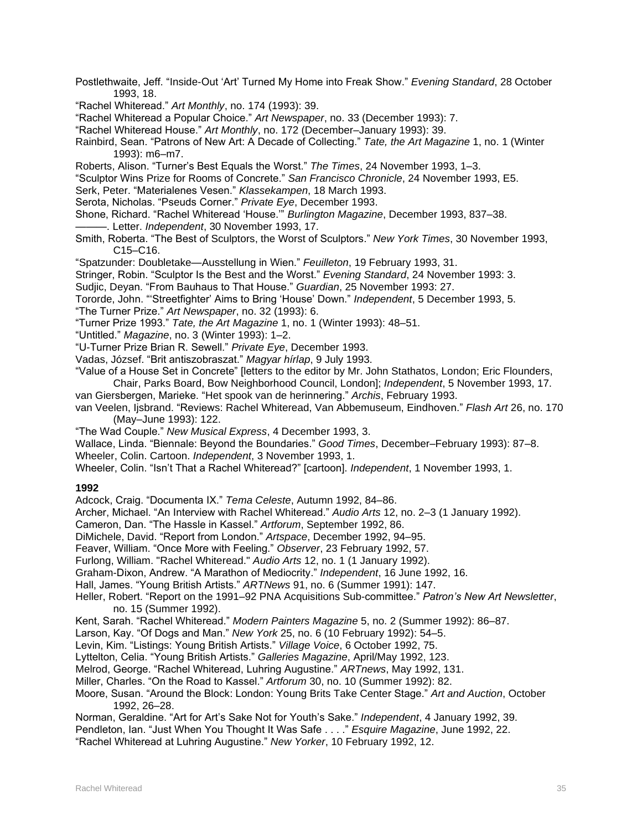Postlethwaite, Jeff. "Inside-Out 'Art' Turned My Home into Freak Show." *Evening Standard*, 28 October 1993, 18.

"Rachel Whiteread." *Art Monthly*, no. 174 (1993): 39.

"Rachel Whiteread a Popular Choice." *Art Newspaper*, no. 33 (December 1993): 7.

"Rachel Whiteread House." *Art Monthly*, no. 172 (December–January 1993): 39.

Rainbird, Sean. "Patrons of New Art: A Decade of Collecting." *Tate, the Art Magazine* 1, no. 1 (Winter 1993): m6–m7.

Roberts, Alison. "Turner's Best Equals the Worst." *The Times*, 24 November 1993, 1–3.

"Sculptor Wins Prize for Rooms of Concrete." *San Francisco Chronicle*, 24 November 1993, E5.

Serk, Peter. "Materialenes Vesen." *Klassekampen*, 18 March 1993.

Serota, Nicholas. "Pseuds Corner." *Private Eye*, December 1993.

Shone, Richard. "Rachel Whiteread 'House.'" *Burlington Magazine*, December 1993, 837–38.

———. Letter. *Independent*, 30 November 1993, 17.

Smith, Roberta. "The Best of Sculptors, the Worst of Sculptors." *New York Times*, 30 November 1993, C15–C16.

"Spatzunder: Doubletake—Ausstellung in Wien." *Feuilleton*, 19 February 1993, 31.

Stringer, Robin. "Sculptor Is the Best and the Worst." *Evening Standard*, 24 November 1993: 3.

Sudjic, Deyan. "From Bauhaus to That House." *Guardian*, 25 November 1993: 27.

Tororde, John. "'Streetfighter' Aims to Bring 'House' Down." *Independent*, 5 December 1993, 5.

"The Turner Prize." *Art Newspaper*, no. 32 (1993): 6.

"Turner Prize 1993." *Tate, the Art Magazine* 1, no. 1 (Winter 1993): 48–51.

"Untitled." *Magazine*, no. 3 (Winter 1993): 1–2.

"U-Turner Prize Brian R. Sewell." *Private Eye*, December 1993.

Vadas, József. "Brit antiszobraszat." *Magyar hírlap*, 9 July 1993.

"Value of a House Set in Concrete" [letters to the editor by Mr. John Stathatos, London; Eric Flounders, Chair, Parks Board, Bow Neighborhood Council, London]; *Independent*, 5 November 1993, 17.

van Giersbergen, Marieke. "Het spook van de herinnering." *Archis*, February 1993.

van Veelen, Ijsbrand. "Reviews: Rachel Whiteread, Van Abbemuseum, Eindhoven." *Flash Art* 26, no. 170 (May–June 1993): 122.

"The Wad Couple." *New Musical Express*, 4 December 1993, 3.

Wallace, Linda. "Biennale: Beyond the Boundaries." *Good Times*, December–February 1993): 87–8.

Wheeler, Colin. Cartoon. *Independent*, 3 November 1993, 1.

Wheeler, Colin. "Isn't That a Rachel Whiteread?" [cartoon]. *Independent*, 1 November 1993, 1.

### **1992**

Adcock, Craig. "Documenta IX." *Tema Celeste*, Autumn 1992, 84–86.

Archer, Michael. "An Interview with Rachel Whiteread." *Audio Arts* 12, no. 2–3 (1 January 1992).

Cameron, Dan. "The Hassle in Kassel." *Artforum*, September 1992, 86.

DiMichele, David. "Report from London." *Artspace*, December 1992, 94–95.

Feaver, William. "Once More with Feeling." *Observer*, 23 February 1992, 57.

Furlong, William. "Rachel Whiteread." *Audio Arts* 12, no. 1 (1 January 1992).

Graham-Dixon, Andrew. "A Marathon of Mediocrity." *Independent*, 16 June 1992, 16.

Hall, James. "Young British Artists." *ARTNews* 91, no. 6 (Summer 1991): 147.

Heller, Robert. "Report on the 1991–92 PNA Acquisitions Sub-committee." *Patron's New Art Newsletter*, no. 15 (Summer 1992).

Kent, Sarah. "Rachel Whiteread." *Modern Painters Magazine* 5, no. 2 (Summer 1992): 86–87.

Larson, Kay. "Of Dogs and Man." *New York* 25, no. 6 (10 February 1992): 54–5.

Levin, Kim. "Listings: Young British Artists." *Village Voice*, 6 October 1992, 75.

Lyttelton, Celia. "Young British Artists." *Galleries Magazine*, April/May 1992, 123.

Melrod, George. "Rachel Whiteread, Luhring Augustine." *ARTnews*, May 1992, 131.

Miller, Charles. "On the Road to Kassel." *Artforum* 30, no. 10 (Summer 1992): 82.

Moore, Susan. "Around the Block: London: Young Brits Take Center Stage." *Art and Auction*, October 1992, 26–28.

Norman, Geraldine. "Art for Art's Sake Not for Youth's Sake." *Independent*, 4 January 1992, 39.

Pendleton, Ian. "Just When You Thought It Was Safe . . . ." *Esquire Magazine*, June 1992, 22.

"Rachel Whiteread at Luhring Augustine." *New Yorker*, 10 February 1992, 12.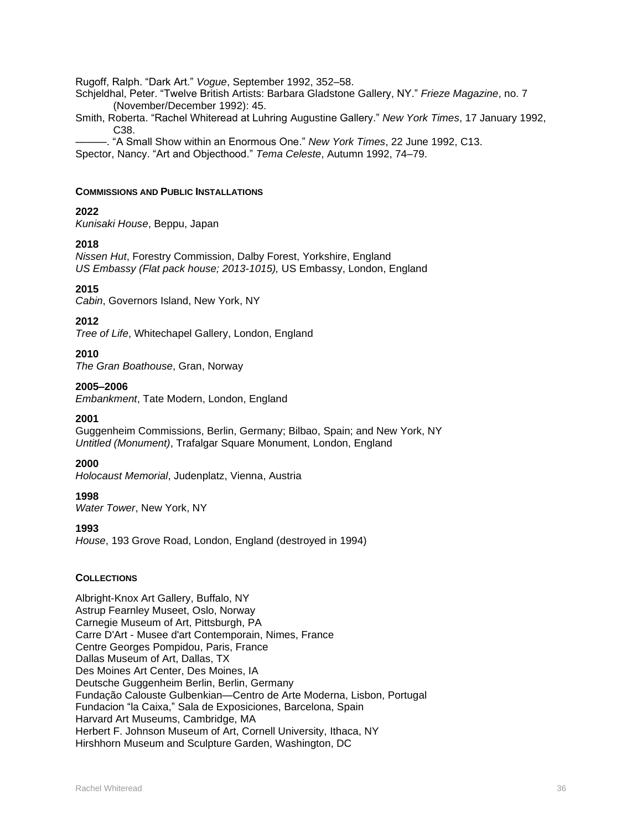Rugoff, Ralph. "Dark Art." *Vogue*, September 1992, 352–58.

Schjeldhal, Peter. "Twelve British Artists: Barbara Gladstone Gallery, NY." *Frieze Magazine*, no. 7 (November/December 1992): 45.

Smith, Roberta. "Rachel Whiteread at Luhring Augustine Gallery." *New York Times*, 17 January 1992, C38.

———. "A Small Show within an Enormous One." *New York Times*, 22 June 1992, C13.

Spector, Nancy. "Art and Objecthood." *Tema Celeste*, Autumn 1992, 74–79.

#### **COMMISSIONS AND PUBLIC INSTALLATIONS**

### **2022**

*Kunisaki House*, Beppu, Japan

#### **2018**

*Nissen Hut*, Forestry Commission, Dalby Forest, Yorkshire, England *US Embassy (Flat pack house; 2013-1015),* US Embassy, London, England

### **2015**

*Cabin*, Governors Island, New York, NY

#### **2012**

*Tree of Life*, Whitechapel Gallery, London, England

#### **2010**

*The Gran Boathouse*, Gran, Norway

### **2005–2006**

*Embankment*, Tate Modern, London, England

#### **2001**

Guggenheim Commissions, Berlin, Germany; Bilbao, Spain; and New York, NY *Untitled (Monument)*, Trafalgar Square Monument, London, England

#### **2000**

*Holocaust Memorial*, Judenplatz, Vienna, Austria

#### **1998**

*Water Tower*, New York, NY

#### **1993**

*House*, 193 Grove Road, London, England (destroyed in 1994)

### **COLLECTIONS**

Albright-Knox Art Gallery, Buffalo, NY Astrup Fearnley Museet, Oslo, Norway Carnegie Museum of Art, Pittsburgh, PA Carre D'Art - Musee d'art Contemporain, Nimes, France Centre Georges Pompidou, Paris, France Dallas Museum of Art, Dallas, TX Des Moines Art Center, Des Moines, IA Deutsche Guggenheim Berlin, Berlin, Germany Fundação Calouste Gulbenkian—Centro de Arte Moderna, Lisbon, Portugal Fundacion "la Caixa," Sala de Exposiciones, Barcelona, Spain Harvard Art Museums, Cambridge, MA Herbert F. Johnson Museum of Art, Cornell University, Ithaca, NY Hirshhorn Museum and Sculpture Garden, Washington, DC